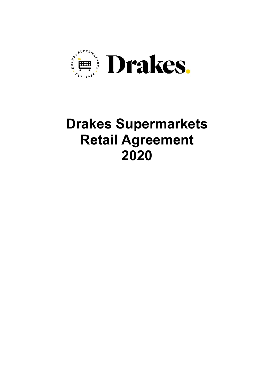

# **Drakes Supermarkets Retail Agreement 2020**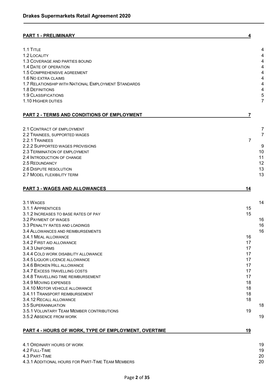# **PART 1 - [PRELIMINARY](#page-3-0) 4**

| 1.1 TITLE                                            | 4              |
|------------------------------------------------------|----------------|
| 1.2 LOCALITY                                         | 4              |
| 1.3 COVERAGE AND PARTIES BOUND                       | 4              |
| 1.4 DATE OF OPERATION                                | 4              |
| 1.5 COMPREHENSIVE AGREEMENT                          | 4              |
| 1.6 NO EXTRA CLAIMS                                  | 4              |
| 1.7 RELATIONSHIP WITH NATIONAL EMPLOYMENT STANDARDS  | 4              |
| 1.8 DEFINITIONS                                      | 4              |
| <b>1.9 CLASSIFICATIONS</b>                           | 5              |
| 1.10 HIGHER DUTIES                                   | $\overline{7}$ |
|                                                      |                |
| <b>PART 2 - TERMS AND CONDITIONS OF EMPLOYMENT</b>   | 7              |
|                                                      |                |
| 2.1 CONTRACT OF EMPLOYMENT                           | 7              |
| 2.2 TRAINEES, SUPPORTED WAGES                        | $\overline{7}$ |
| 2.2.1 TRAINEES                                       | $\overline{7}$ |
| 2.2.2 SUPPORTED WAGES PROVISIONS                     | 9              |
| 2.3 TERMINATION OF EMPLOYMENT                        | 10             |
| 2.4 INTRODUCTION OF CHANGE                           | 11             |
| 2.5 REDUNDANCY                                       | 12             |
| <b>2.6 DISPUTE RESOLUTION</b>                        | 13             |
| 2.7 MODEL FLEXIBILITY TERM                           | 13             |
|                                                      |                |
|                                                      |                |
| <b>PART 3 - WAGES AND ALLOWANCES</b>                 | 14             |
|                                                      |                |
| 3.1 WAGES                                            | 14             |
| 3.1.1 APPRENTICES                                    | 15             |
| 3.1.2 INCREASES TO BASE RATES OF PAY                 | 15             |
| 3.2 PAYMENT OF WAGES                                 | 16             |
| 3.3 PENALTY RATES AND LOADINGS                       | 16             |
| 3.4 ALLOWANCES AND REIMBURSEMENTS                    | 16             |
| 3.4.1 MEAL ALLOWANCE                                 | 16             |
| 3.4.2 FIRST AID ALLOWANCE                            | 17             |
| 3.4.3 UNIFORMS                                       | 17             |
| 3.4.4 COLD WORK DISABILITY ALLOWANCE                 | 17             |
| 3.4.5 LIQUOR LICENCE ALLOWANCE                       | 17             |
| 3.4.6 BROKEN HILL ALLOWANCE                          | 17             |
| 3.4.7 EXCESS TRAVELLING COSTS                        | 17             |
| 3.4.8 TRAVELLING TIME REIMBURSEMENT                  | 17             |
| 3.4.9 MOVING EXPENSES                                | 18             |
| 3.4.10 MOTOR VEHICLE ALLOWANCE                       | 18             |
| 3.4.11 TRANSPORT REIMBURSEMENT                       | 18             |
| 3.4.12 RECALL ALLOWANCE                              | 18             |
| <b>3.5 SUPERANNUATION</b>                            | 18             |
|                                                      |                |
| 3.5.1 VOLUNTARY TEAM MEMBER CONTRIBUTIONS            | 19<br>19       |
| 3.5.2 ABSENCE FROM WORK                              |                |
| PART 4 - HOURS OF WORK, TYPE OF EMPLOYMENT, OVERTIME | 19             |
|                                                      |                |
| 4.1 ORDINARY HOURS OF WORK                           | 19             |
| 4.2 FULL-TIME                                        | 19             |
| 4.3 PART-TIME                                        | 20             |
| 4.3.1 ADDITIONAL HOURS FOR PART-TIME TEAM MEMBERS    | 20             |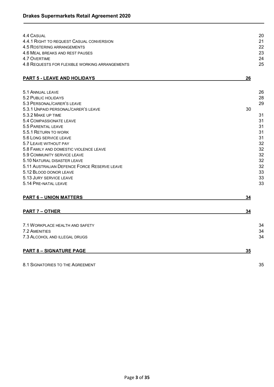| 4.4 CASUAL<br>4.4.1 RIGHT TO REQUEST CASUAL CONVERSION<br>4.5 ROSTERING ARRANGEMENTS<br>4.6 MEAL BREAKS AND REST PAUSES<br><b>4.7 OVERTIME</b><br>4.8 REQUESTS FOR FLEXIBLE WORKING ARRANGEMENTS                                                                                                                                                                                                                                                                           | 20<br>21<br>22<br>23<br>24<br>25                                                             |
|----------------------------------------------------------------------------------------------------------------------------------------------------------------------------------------------------------------------------------------------------------------------------------------------------------------------------------------------------------------------------------------------------------------------------------------------------------------------------|----------------------------------------------------------------------------------------------|
| <b>PART 5 - LEAVE AND HOLIDAYS</b>                                                                                                                                                                                                                                                                                                                                                                                                                                         | 26                                                                                           |
| 5.1 ANNUAL LEAVE<br>5.2 PUBLIC HOLIDAYS<br>5.3 PERSONAL/CARER'S LEAVE<br>5.3.1 UNPAID PERSONAL/CARER'S LEAVE<br>5.3.2 MAKE UP TIME<br>5.4 COMPASSIONATE LEAVE<br>5.5 PARENTAL LEAVE<br>5.5.1 RETURN TO WORK<br>5.6 LONG SERVICE LEAVE<br>5.7 LEAVE WITHOUT PAY<br>5.8 FAMILY AND DOMESTIC VIOLENCE LEAVE<br>5.9 COMMUNITY SERVICE LEAVE<br>5.10 NATURAL DISASTER LEAVE<br>5.11 AUSTRALIAN DEFENCE FORCE RESERVE LEAVE<br>5.12 BLOOD DONOR LEAVE<br>5.13 JURY SERVICE LEAVE | 26<br>28<br>29<br>30<br>31<br>31<br>31<br>31<br>31<br>32<br>32<br>32<br>32<br>32<br>33<br>33 |
| 5.14 PRE-NATAL LEAVE                                                                                                                                                                                                                                                                                                                                                                                                                                                       | 33                                                                                           |
| <b>PART 6 - UNION MATTERS</b>                                                                                                                                                                                                                                                                                                                                                                                                                                              | 34                                                                                           |
| <b>PART 7 - OTHER</b>                                                                                                                                                                                                                                                                                                                                                                                                                                                      | 34                                                                                           |
| 7.1 WORKPLACE HEALTH AND SAFETY<br><b>7.2 AMENITIES</b><br>7.3 ALCOHOL AND ILLEGAL DRUGS                                                                                                                                                                                                                                                                                                                                                                                   | 34<br>34<br>34                                                                               |
| <b>PART 8 - SIGNATURE PAGE</b>                                                                                                                                                                                                                                                                                                                                                                                                                                             | 35                                                                                           |
| 8.1 SIGNATORIES TO THE AGREEMENT                                                                                                                                                                                                                                                                                                                                                                                                                                           | 35                                                                                           |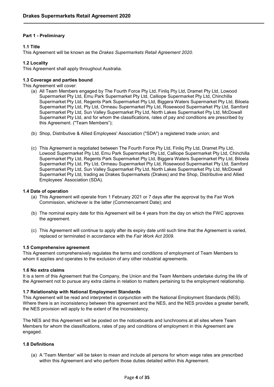# <span id="page-3-0"></span>**Part 1 - Preliminary**

# <span id="page-3-1"></span>**1.1 Title**

This Agreement will be known as the *Drakes Supermarkets Retail Agreement 2020.*

# <span id="page-3-2"></span>**1.2 Locality**

This Agreement shall apply throughout Australia.

# <span id="page-3-3"></span>**1.3 Coverage and parties bound**

This Agreement will cover:

- (a) All Team Members engaged by The Fourth Force Pty Ltd, Finliq Pty Ltd, Dramet Pty Ltd, Lowood Supermarket Pty Ltd, Emu Park Supermarket Pty Ltd, Calliope Supermarket Pty Ltd, Chinchilla Supermarket Pty Ltd, Regents Park Supermarket Pty Ltd, Biggera Waters Supermarket Pty Ltd, Biloela Supermarket Pty Ltd, Pty Ltd, Ormeau Supermarket Pty Ltd, Rosewood Supermarket Pty Ltd, Samford Supermarket Pty Ltd, Sun Valley Supermarket Pty Ltd, North Lakes Supermarket Pty Ltd, McDowall Supermarket Pty Ltd, and for whom the classifications, rates of pay and conditions are prescribed by this Agreement. ("Team Members");
- (b) Shop, Distributive & Allied Employees' Association ("SDA") a registered trade union; and
- (c) This Agreement is negotiated between The Fourth Force Pty Ltd, Finliq Pty Ltd, Dramet Pty Ltd, Lowood Supermarket Pty Ltd, Emu Park Supermarket Pty Ltd, Calliope Supermarket Pty Ltd, Chinchilla Supermarket Pty Ltd, Regents Park Supermarket Pty Ltd, Biggera Waters Supermarket Pty Ltd, Biloela Supermarket Pty Ltd, Pty Ltd, Ormeau Supermarket Pty Ltd, Rosewood Supermarket Pty Ltd, Samford Supermarket Pty Ltd, Sun Valley Supermarket Pty Ltd, North Lakes Supermarket Pty Ltd, McDowall Supermarket Pty Ltd, trading as Drakes Supermarkets (Drakes) and the Shop, Distributive and Allied Employees' Association (SDA).

## <span id="page-3-4"></span>**1.4 Date of operation**

- (a) This Agreement will operate from 1 February 2021 or 7 days after the approval by the Fair Work Commission, whichever is the latter (Commencement Date); and
- (b) The nominal expiry date for this Agreement will be 4 years from the day on which the FWC approves the agreement.
- (c) This Agreement will continue to apply after its expiry date until such time that the Agreement is varied, replaced or terminated in accordance with the *Fair Work Act 2009.*

# <span id="page-3-5"></span>**1.5 Comprehensive agreement**

This Agreement comprehensively regulates the terms and conditions of employment of Team Members to whom it applies and operates to the exclusion of any other industrial agreements.

# <span id="page-3-6"></span>**1.6 No extra claims**

It is a term of this Agreement that the Company, the Union and the Team Members undertake during the life of the Agreement not to pursue any extra claims in relation to matters pertaining to the employment relationship.

# <span id="page-3-7"></span>**1.7 Relationship with National Employment Standards**

This Agreement will be read and interpreted in conjunction with the National Employment Standards (NES). Where there is an inconsistency between this agreement and the NES, and the NES provides a greater benefit, the NES provision will apply to the extent of the inconsistency.

The NES and this Agreement will be posted on the noticeboards and lunchrooms at all sites where Team Members for whom the classifications, rates of pay and conditions of employment in this Agreement are engaged.

# <span id="page-3-8"></span>**1.8 Definitions**

(a) A 'Team Member' will be taken to mean and include all persons for whom wage rates are prescribed within this Agreement and who perform those duties detailed within this Agreement.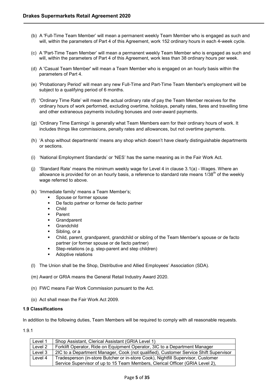- (b) A 'Full-Time Team Member' will mean a permanent weekly Team Member who is engaged as such and will, within the parameters of Part 4 of this Agreement, work 152 ordinary hours in each 4-week cycle.
- (c) A 'Part-Time Team Member' will mean a permanent weekly Team Member who is engaged as such and will, within the parameters of Part 4 of this Agreement, work less than 38 ordinary hours per week.
- (d) A 'Casual Team Member' will mean a Team Member who is engaged on an hourly basis within the parameters of Part 4.
- (e) 'Probationary Period' will mean any new Full-Time and Part-Time Team Member's employment will be subject to a qualifying period of 6 months.
- (f) 'Ordinary Time Rate' will mean the actual ordinary rate of pay the Team Member receives for the ordinary hours of work performed, excluding overtime, holidays, penalty rates, fares and travelling time and other extraneous payments including bonuses and over-award payments.
- (g) 'Ordinary Time Earnings' is generally what Team Members earn for their ordinary hours of work. It includes things like commissions, penalty rates and allowances, but not overtime payments.
- (h) 'A shop without departments' means any shop which doesn't have clearly distinguishable departments or sections.
- (i) 'National Employment Standards' or 'NES' has the same meaning as in the Fair Work Act.
- (j) 'Standard Rate' means the minimum weekly wage for Level 4 in clause 3.1(a) Wages. Where an allowance is provided for on an hourly basis, a reference to standard rate means  $1/38^{th}$  of the weekly wage referred to above.
- (k) 'Immediate family' means a Team Member's;
	- Spouse or former spouse
	- De facto partner or former de facto partner
	- **Child**
	- Parent
	- **Grandparent**
	- **Grandchild**
	- Sibling, or a
	- Child, parent, grandparent, grandchild or sibling of the Team Member's spouse or de facto partner (or former spouse or de facto partner)
	- Step-relations (e.g. step-parent and step children)
	- Adoptive relations
- (l) The Union shall be the Shop, Distributive and Allied Employees' Association (SDA).

(m) Award or GRIA means the General Retail Industry Award 2020.

- (n) FWC means Fair Work Commission pursuant to the Act.
- (o) Act shall mean the Fair Work Act 2009.

## <span id="page-4-0"></span>**1.9 Classifications**

In addition to the following duties, Team Members will be required to comply with all reasonable requests.

1.9.1

| Level 1 | Shop Assistant, Clerical Assistant (GRIA Level 1)                                    |
|---------|--------------------------------------------------------------------------------------|
| Level 2 | Forklift Operator, Ride on Equipment Operator, 3IC to a Department Manager           |
| Level 3 | 2IC to a Department Manager, Cook (not qualified), Customer Service Shift Supervisor |
| Level 4 | Tradesperson (in-store Butcher or in-store Cook), Nightfill Supervisor, Customer     |
|         | Service Supervisor of up to 15 Team Members, Clerical Officer (GRIA Level 2),        |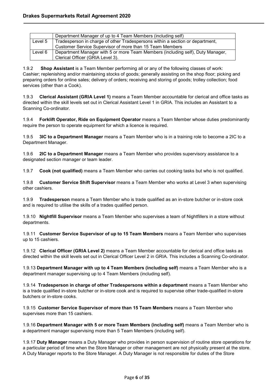|         | Department Manager of up to 4 Team Members (including self)                    |
|---------|--------------------------------------------------------------------------------|
| Level 5 | Tradesperson in charge of other Tradespersons within a section or department,  |
|         | Customer Service Supervisor of more than 15 Team Members                       |
| Level 6 | Department Manager with 5 or more Team Members (including self), Duty Manager, |
|         | Clerical Officer (GRIA Level 3).                                               |

1.9.2 **Shop Assistant** is a Team Member performing all or any of the following classes of work: Cashier; replenishing and/or maintaining stocks of goods; generally assisting on the shop floor; picking and preparing orders for online sales; delivery of orders; receiving and storing of goods; trolley collection; food services (other than a Cook).

1.9.3 **Clerical Assistant (GRIA Level 1)** means a Team Member accountable for clerical and office tasks as directed within the skill levels set out in Clerical Assistant Level 1 in GRIA. This includes an Assistant to a Scanning Co-ordinator.

1.9.4 **Forklift Operator, Ride on Equipment Operator** means a Team Member whose duties predominantly require the person to operate equipment for which a licence is required.

1.9.5 **3IC to a Department Manager** means a Team Member who is in a training role to become a 2IC to a Department Manager.

1.9.6 **2IC to a Department Manager** means a Team Member who provides supervisory assistance to a designated section manager or team leader.

1.9.7 **Cook (not qualified)** means a Team Member who carries out cooking tasks but who is not qualified.

1.9.8 **Customer Service Shift Supervisor** means a Team Member who works at Level 3 when supervising other cashiers.

1.9.9 **Tradesperson** means a Team Member who is trade qualified as an in-store butcher or in-store cook and is required to utilise the skills of a trades qualified person.

1.9.10 **Nightfill Supervisor** means a Team Member who supervises a team of Nightfillers in a store without departments.

1.9.11 **Customer Service Supervisor of up to 15 Team Members** means a Team Member who supervises up to 15 cashiers.

1.9.12 **Clerical Officer (GRIA Level 2)** means a Team Member accountable for clerical and office tasks as directed within the skill levels set out in Clerical Officer Level 2 in GRIA. This includes a Scanning Co-ordinator.

1.9.13 **Department Manager with up to 4 Team Members (including self)** means a Team Member who is a department manager supervising up to 4 Team Members (including self).

1.9.14 **Tradesperson in charge of other Tradespersons within a department** means a Team Member who is a trade qualified in-store butcher or in-store cook and is required to supervise other trade-qualified in-store butchers or in-store cooks.

1.9.15 **Customer Service Supervisor of more than 15 Team Members** means a Team Member who supervises more than 15 cashiers.

1.9.16 **Department Manager with 5 or more Team Members (including self)** means a Team Member who is a department manager supervising more than 5 Team Members (including self).

1.9.17 **Duty Manager** means a Duty Manager who provides in person supervision of routine store operations for a particular period of time when the Store Manager or other management are not physically present at the store. A Duty Manager reports to the Store Manager. A Duty Manager is not responsible for duties of the Store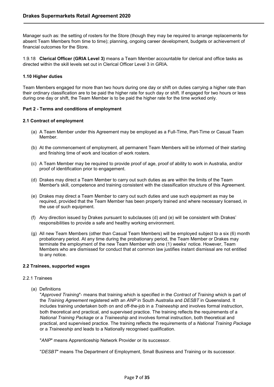Manager such as: the setting of rosters for the Store (though they may be required to arrange replacements for absent Team Members from time to time); planning, ongoing career development, budgets or achievement of financial outcomes for the Store.

1.9.18 **Clerical Officer (GRIA Level 3)** means a Team Member accountable for clerical and office tasks as directed within the skill levels set out in Clerical Officer Level 3 in GRIA.

# <span id="page-6-0"></span>**1.10 Higher duties**

Team Members engaged for more than two hours during one day or shift on duties carrying a higher rate than their ordinary classification are to be paid the higher rate for such day or shift. If engaged for two hours or less during one day or shift, the Team Member is to be paid the higher rate for the time worked only.

## <span id="page-6-1"></span>**Part 2 - Terms and conditions of employment**

## <span id="page-6-2"></span>**2.1 Contract of employment**

- (a) A Team Member under this Agreement may be employed as a Full-Time, Part-Time or Casual Team Member.
- (b) At the commencement of employment, all permanent Team Members will be informed of their starting and finishing time of work and location of work rosters.
- (c) A Team Member may be required to provide proof of age, proof of ability to work in Australia, and/or proof of identification prior to engagement.
- (d) Drakes may direct a Team Member to carry out such duties as are within the limits of the Team Member's skill, competence and training consistent with the classification structure of this Agreement.
- (e) Drakes may direct a Team Member to carry out such duties and use such equipment as may be required, provided that the Team Member has been properly trained and where necessary licensed, in the use of such equipment.
- (f) Any direction issued by Drakes pursuant to subclauses (d) and (e) will be consistent with Drakes' responsibilities to provide a safe and healthy working environment.
- (g) All new Team Members (other than Casual Team Members) will be employed subject to a six (6) month probationary period. At any time during the probationary period, the Team Member or Drakes may terminate the employment of the new Team Member with one (1) weeks' notice. However, Team Members who are dismissed for conduct that at common law justifies instant dismissal are not entitled to any notice.

## <span id="page-6-3"></span>**2.2 Trainees, supported wages**

## <span id="page-6-4"></span>2.2.1 Trainees

(a) Definitions

"*Approved Training*"- means that training which is specified in the *Contract of Training* which is part of the *Training Agreement* registered with an *ANP* in South Australia and *DESBT* in Queensland. It includes training undertaken both on and off-the-job in a *Traineeship* and involves formal instruction, both theoretical and practical, and supervised practice. The training reflects the requirements of a *National Training Package* or a *Traineeship* and involves formal instruction, both theoretical and practical, and supervised practice. The training reflects the requirements of a *National Training Package* or a *Traineeship* and leads to a Nationally recognised qualification.

"*ANP*" means Apprenticeship Network Provider or its successor.

''*DESBT*" means The Department of Employment, Small Business and Training or its successor.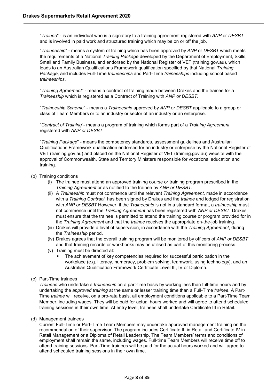"*Trainee*" - is an individual who is a signatory to a training agreement registered with *ANP* or *DESBT* and is involved in paid work and structured training which may be on or off the job.

"*Traineeship*" - means a system of training which has been approved by *ANP* or *DESBT* which meets the requirements of a National *Training Package* developed by the Department of Employment, Skills, Small and Family Business, and endorsed by the National Register of VET (training.gov.au), which leads to an Australian Qualifications Framework qualification specified by that National *Training Package*, and includes Full-Time *traineeships* and Part-Time *traineeships* including school based *traineeships*.

"*Training Agreement*" - means a contract of training made between Drakes and the trainee for a *Traineeship* which is registered as a Contract of Training with *ANP or DESBT*.

"*Traineeship Scheme*" - means a *Traineeship* approved by *ANP or DESBT* applicable to a group or class of Team Members or to an industry or sector of an industry or an enterprise.

"*Contract of Training*"- means a program of training which forms part of a *Training Agreement* registered with *ANP or DESBT*.

"*Training Package*" - means the competency standards, assessment guidelines and Australian Qualifications Framework qualification endorsed for an industry or enterprise by the National Register of VET (training.gov.au) and placed on the National Register of VET (training.gov.au) website with the approval of Commonwealth, State and Territory Ministers responsible for vocational education and training.

## (b) Training conditions

- (i) The trainee must attend an approved training course or training program prescribed in the *Training Agreement* or as notified to the trainee by *ANP or DESBT*.
- (ii) A *Traineeship* must not commence until the relevant *Training Agreement*, made in accordance with a *Training Contract,* has been signed by Drakes and the *trainee* and lodged for registration with *ANP or DESBT* However, if the *Traineeship* is not in a standard format, a *traineeship* must not commence until the *Training Agreement* has been registered with *ANP or DESBT.* Drakes must ensure that the trainee is permitted to attend the training course or program provided for in the *Training Agreement* and that the *trainee* receives the appropriate on-the-job training.
- (iii) Drakes will provide a level of supervision, in accordance with the *Training Agreement*, during the *Traineeship* period.
- (iv) Drakes agrees that the overall training program will be monitored by officers of *ANP or DESBT* and that training records or workbooks may be utilised as part of this monitoring process.
- (v) Training must be directed at:
	- The achievement of key competencies required for successful participation in the workplace (e.g. literacy, numeracy, problem solving, teamwork, using technology), and an Australian Qualification Framework Certificate Level III, IV or Diploma.

# (c) Part-Time trainees

*Trainees* who undertake a *traineeship* on a part-time basis by working less than full-time hours and by undertaking the *approved training* at the same or lesser training time than a Full-Time *trainee*. A Part-Time *trainee* will receive, on a pro-rata basis, all employment conditions applicable to a Part-Time Team Member, including wages. They will be paid for actual hours worked and will agree to attend scheduled training sessions in their own time. At entry level, trainees shall undertake Certificate III in Retail.

(d) Management trainees

Current Full-Time or Part-Time Team Members may undertake approved management training on the recommendation of their supervisor. The program includes Certificate III in Retail and Certificate IV in Retail Management or a Diploma of Retail Leadership. The Team Members' terms and conditions of employment shall remain the same, including wages. Full-time Team Members will receive time off to attend training sessions. Part-Time trainees will be paid for the actual hours worked and will agree to attend scheduled training sessions in their own time.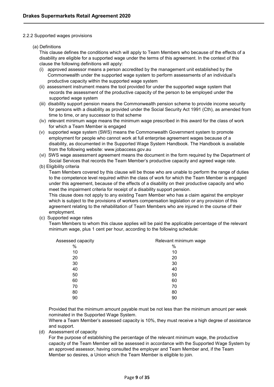## <span id="page-8-0"></span>2.2.2 Supported wages provisions

## (a) Definitions

This clause defines the conditions which will apply to Team Members who because of the effects of a disability are eligible for a supported wage under the terms of this agreement. In the context of this clause the following definitions will apply:

- (i) approved assessor means a person accredited by the management unit established by the Commonwealth under the supported wage system to perform assessments of an individual's productive capacity within the supported wage system
- (ii) assessment instrument means the tool provided for under the supported wage system that records the assessment of the productive capacity of the person to be employed under the supported wage system
- (iii) disability support pension means the Commonwealth pension scheme to provide income security for persons with a disability as provided under the Social Security Act 1991 (Cth), as amended from time to time, or any successor to that scheme
- (iv) relevant minimum wage means the minimum wage prescribed in this award for the class of work for which a Team Member is engaged
- (v) supported wage system (SWS) means the Commonwealth Government system to promote employment for people who cannot work at full enterprise agreement wages because of a disability, as documented in the Supported Wage System Handbook. The Handbook is available from the following website: www.jobaccess.gov.au
- (vi) SWS wage assessment agreement means the document in the form required by the Department of Social Services that records the Team Member's productive capacity and agreed wage rate.
- (b) Eligibility criteria

Team Members covered by this clause will be those who are unable to perform the range of duties to the competence level required within the class of work for which the Team Member is engaged under this agreement, because of the effects of a disability on their productive capacity and who meet the impairment criteria for receipt of a disability support pension.

This clause does not apply to any existing Team Member who has a claim against the employer which is subject to the provisions of workers compensation legislation or any provision of this agreement relating to the rehabilitation of Team Members who are injured in the course of their employment.

(c) Supported wage rates

Team Members to whom this clause applies will be paid the applicable percentage of the relevant minimum wage, plus 1 cent per hour, according to the following schedule:

| Assessed capacity | Relevant minimum wage |
|-------------------|-----------------------|
| %                 | %                     |
| 10                | 10                    |
| 20                | 20                    |
| 30                | 30                    |
| 40                | 40                    |
| 50                | 50                    |
| 60                | 60                    |
| 70                | 70                    |
| 80                | 80                    |
| 90                | 90                    |
|                   |                       |

Provided that the minimum amount payable must be not less than the minimum amount per week nominated in the Supported Wage System.

Where a Team Member's assessed capacity is 10%, they must receive a high degree of assistance and support.

(d) Assessment of capacity

For the purpose of establishing the percentage of the relevant minimum wage, the productive capacity of the Team Member will be assessed in accordance with the Supported Wage System by an approved assessor, having consulted the employer and Team Member and, if the Team Member so desires, a Union which the Team Member is eligible to join.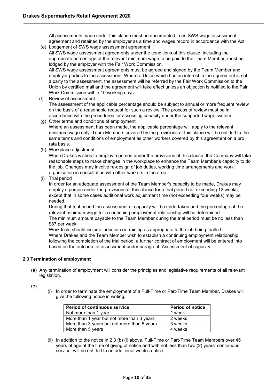All assessments made under this clause must be documented in an SWS wage assessment agreement and retained by the employer as a time and wages record in accordance with the Act.

(e) Lodgement of SWS wage assessment agreement All SWS wage assessment agreements under the conditions of this clause, including the appropriate percentage of the relevant minimum wage to be paid to the Team Member, must be lodged by the employer with the Fair Work Commission. All SWS wage assessment agreements must be agreed and signed by the Team Member and

employer parties to the assessment. Where a Union which has an interest in the agreement is not a party to the assessment, the assessment will be referred by the Fair Work Commission to the Union by certified mail and the agreement will take effect unless an objection is notified to the Fair Work Commission within 10 working days.

(f) Review of assessment

The assessment of the applicable percentage should be subject to annual or more frequent review on the basis of a reasonable request for such a review. The process of review must be in accordance with the procedures for assessing capacity under the supported wage system.

- (g) Other terms and conditions of employment Where an assessment has been made, the applicable percentage will apply to the relevant minimum wage only. Team Members covered by the provisions of this clause will be entitled to the same terms and conditions of employment as other workers covered by this agreement on a pro rata basis.
- (h) Workplace adjustment

When Drakes wishes to employ a person under the provisions of this clause, the Company will take reasonable steps to make changes in the workplace to enhance the Team Member's capacity to do the job. Changes may involve re-design of job duties, working time arrangements and work organisation in consultation with other workers in the area.

(i) Trial period

In order for an adequate assessment of the Team Member's capacity to be made, Drakes may employ a person under the provisions of this clause for a trial period not exceeding 12 weeks, except that in some cases additional work adjustment time (not exceeding four weeks) may be needed.

During that trial period the assessment of capacity will be undertaken and the percentage of the relevant minimum wage for a continuing employment relationship will be determined.

The minimum amount payable to the Team Member during the trial period must be no less than \$87 per week.

Work trials should include induction or training as appropriate to the job being trialled. Where Drakes and the Team Member wish to establish a continuing employment relationship following the completion of the trial period, a further contract of employment will be entered into based on the outcome of assessment under paragraph Assessment of capacity.

# <span id="page-9-0"></span>**2.3 Termination of employment**

- (a) Any termination of employment will consider the principles and legislative requirements of all relevant legislation.
- (b)
- (i) In order to terminate the employment of a Full-Time or Part-Time Team Member, Drakes will give the following notice in writing:

| <b>Period of continuous service</b>         | <b>Period of notice</b> |
|---------------------------------------------|-------------------------|
| Not more than 1 year                        | 1 week                  |
| More than 1 year but not more than 3 years  | 2 weeks                 |
| More than 3 years but not more than 5 years | 3 weeks                 |
| More than 5 years                           | 4 weeks                 |

(ii) In addition to the notice in 2.3 (b) (i) above, Full-Time or Part-Time Team Members over 45 years of age at the time of giving of notice and with not less than two (2) years' continuous service, will be entitled to an additional week's notice.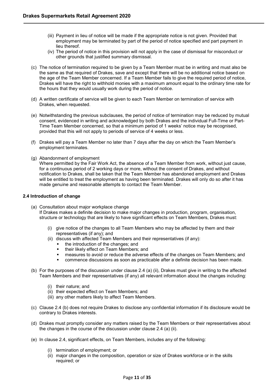- (iii) Payment in lieu of notice will be made if the appropriate notice is not given. Provided that employment may be terminated by part of the period of notice specified and part payment in lieu thereof.
- (iv) The period of notice in this provision will not apply in the case of dismissal for misconduct or other grounds that justified summary dismissal.
- (c) The notice of termination required to be given by a Team Member must be in writing and must also be the same as that required of Drakes, save and except that there will be no additional notice based on the age of the Team Member concerned. If a Team Member fails to give the required period of notice, Drakes will have the right to withhold monies with a maximum amount equal to the ordinary time rate for the hours that they would usually work during the period of notice.
- (d) A written certificate of service will be given to each Team Member on termination of service with Drakes, when requested.
- (e) Notwithstanding the previous subclauses, the period of notice of termination may be reduced by mutual consent, evidenced in writing and acknowledged by both Drakes and the individual Full-Time or Part-Time Team Member concerned, so that a minimum period of 1 weeks' notice may be recognised, provided that this will not apply to periods of service of 4 weeks or less.
- (f) Drakes will pay a Team Member no later than 7 days after the day on which the Team Member's employment terminates.
- (g) Abandonment of employment

Where permitted by the Fair Work Act, the absence of a Team Member from work, without just cause, for a continuous period of 2 working days or more, without the consent of Drakes, and without notification to Drakes, shall be taken that the Team Member has abandoned employment and Drakes will be entitled to treat the employment as having been terminated. Drakes will only do so after it has made genuine and reasonable attempts to contact the Team Member.

## <span id="page-10-0"></span>**2.4 Introduction of change**

- (a) Consultation about major workplace change If Drakes makes a definite decision to make major changes in production, program, organisation, structure or technology that are likely to have significant effects on Team Members, Drakes must:
	- (i) give notice of the changes to all Team Members who may be affected by them and their representatives (if any); and
	- (ii) discuss with affected Team Members and their representatives (if any):
		- the introduction of the changes; and
		- their likely effect on Team Members; and
		- measures to avoid or reduce the adverse effects of the changes on Team Members; and
		- commence discussions as soon as practicable after a definite decision has been made.
- (b) For the purposes of the discussion under clause 2.4 (a) (ii), Drakes must give in writing to the affected Team Members and their representatives (if any) all relevant information about the changes including:
	- (i) their nature; and
	- (ii) their expected effect on Team Members; and
	- (iii) any other matters likely to affect Team Members.
- (c) Clause 2.4 (b) does not require Drakes to disclose any confidential information if its disclosure would be contrary to Drakes interests.
- (d) Drakes must promptly consider any matters raised by the Team Members or their representatives about the changes in the course of the discussion under clause 2.4 (a) (ii).
- (e) In clause 2.4, significant effects, on Team Members, includes any of the following:
	- (i) termination of employment; or
	- (ii) major changes in the composition, operation or size of Drakes workforce or in the skills required; or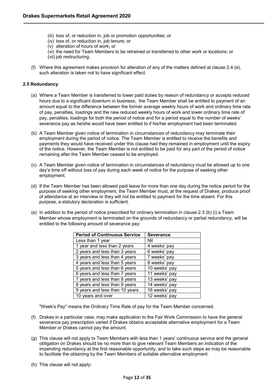- (iii) loss of, or reduction in, job or promotion opportunities; or
- (iv) loss of, or reduction in, job tenure; or
- (v) alteration of hours of work; or
- (vi) the need for Team Members to be retrained or transferred to other work or locations; or
- (vii) job restructuring.
- (f) Where this agreement makes provision for alteration of any of the matters defined at clause 2.4 (e), such alteration is taken not to have significant effect.

## <span id="page-11-0"></span>**2.5 Redundancy**

- (a) Where a Team Member is transferred to lower paid duties by reason of redundancy or accepts reduced hours due to a significant downturn in business, the Team Member shall be entitled to payment of an amount equal to the difference between the former average weekly hours of work and ordinary time rate of pay, penalties, loadings and the new reduced weekly hours of work and lower ordinary time rate of pay, penalties, loadings for both the period of notice and for a period equal to the number of weeks' severance pay as he/she would have been entitled to if his/her employment had been terminated.
- (b) A Team Member given notice of termination in circumstances of redundancy may terminate their employment during the period of notice. The Team Member is entitled to receive the benefits and payments they would have received under this clause had they remained in employment until the expiry of the notice. However, the Team Member is not entitled to be paid for any part of the period of notice remaining after the Team Member ceased to be employed.
- (c) A Team Member given notice of termination in circumstances of redundancy must be allowed up to one day's time off without loss of pay during each week of notice for the purpose of seeking other employment.
- (d) If the Team Member has been allowed paid leave for more than one day during the notice period for the purpose of seeking other employment, the Team Member must, at the request of Drakes, produce proof of attendance at an interview or they will not be entitled to payment for the time absent. For this purpose, a statutory declaration is sufficient.
- (e) In addition to the period of notice prescribed for ordinary termination in clause 2.3 (b) (i) a Team Member whose employment is terminated on the grounds of redundancy or partial redundancy, will be entitled to the following amount of severance pay:

| <b>Period of Continuous Service</b> | <b>Severance</b> |
|-------------------------------------|------------------|
| Less than 1 year                    | Nil              |
| 1 year and less than 2 years        | 4 weeks' pay     |
| 2 years and less than 3 years       | 6 weeks' pay     |
| 3 years and less than 4 years       | 7 weeks' pay     |
| 4 years and less than 5 years       | 8 weeks' pay     |
| 5 years and less than 6 years       | 10 weeks' pay    |
| 6 years and less than 7 years       | 11 weeks' pay    |
| 7 years and less than 8 years       | 13 weeks' pay    |
| 8 years and less than 9 years       | 14 weeks' pay    |
| 9 years and less than 10 years      | 16 weeks' pay    |
| 10 years and over                   | 12 weeks' pay    |

"Week's Pay" means the Ordinary Time Rate of pay for the Team Member concerned.

- (f) Drakes in a particular case, may make application to the Fair Work Commission to have the general severance pay prescription varied if Drakes obtains acceptable alternative employment for a Team Member or Drakes cannot pay the amount.
- (g) This clause will not apply to Team Members with less than 1 years' continuous service and the general obligation on Drakes should be no more than to give relevant Team Members an indication of the impending redundancy at the first reasonable opportunity, and to take such steps as may be reasonable to facilitate the obtaining by the Team Members of suitable alternative employment.
- (h) This clause will not apply: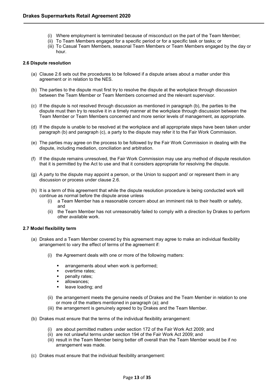- (i) Where employment is terminated because of misconduct on the part of the Team Member;
- (ii) To Team Members engaged for a specific period or for a specific task or tasks; or
- (iii) To Casual Team Members, seasonal Team Members or Team Members engaged by the day or hour.

# <span id="page-12-0"></span>**2.6 Dispute resolution**

- (a) Clause 2.6 sets out the procedures to be followed if a dispute arises about a matter under this agreement or in relation to the [NES.](https://www.fwc.gov.au/documents/awardmod/download/nes.pdf)
- (b) The parties to the dispute must first try to resolve the dispute at the workplace through discussion between the Team Member or Team Members concerned and the relevant supervisor.
- (c) If the dispute is not resolved through discussion as mentioned in paragraph (b), the parties to the dispute must then try to resolve it in a timely manner at the workplace through discussion between the Team Member or Team Members concerned and more senior levels of management, as appropriate.
- (d) If the dispute is unable to be resolved at the workplace and all appropriate steps have been taken under paragraph (b) and paragraph (c), a party to the dispute may refer it to the Fair Work Commission.
- (e) The parties may agree on the process to be followed by the Fair Work Commission in dealing with the dispute, including mediation, conciliation and arbitration.
- (f) If the dispute remains unresolved, the Fair Work Commission may use any method of dispute resolution that it is permitted by the Act to use and that it considers appropriate for resolving the dispute.
- (g) A party to the dispute may appoint a person, or the Union to support and/ or represent them in any discussion or process under clause 2.6.
- (h) It is a term of this agreement that while the dispute resolution procedure is being conducted work will continue as normal before the dispute arose unless
	- (i) a Team Member has a reasonable concern about an imminent risk to their health or safety, and
	- (ii) the Team Member has not unreasonably failed to comply with a direction by Drakes to perform other available work.

# <span id="page-12-1"></span>**2.7 Model flexibility term**

- (a) Drakes and a Team Member covered by this agreement may agree to make an individual flexibility arrangement to vary the effect of terms of the agreement if:
	- (i) the Agreement deals with one or more of the following matters:
		- arrangements about when work is performed;
		- overtime rates;
		- **•** penalty rates;
		- allowances;
		- **leave loading; and**
	- (ii) the arrangement meets the genuine needs of Drakes and the Team Member in relation to one or more of the matters mentioned in paragraph (a); and
	- (iii) the arrangement is genuinely agreed to by Drakes and the Team Member.
- (b) Drakes must ensure that the terms of the individual flexibility arrangement:
	- (i) are about permitted matters under section 172 of the Fair Work Act 2009; and
	- (ii) are not unlawful terms under section 194 of the Fair Work Act 2009; and
	- (iii) result in the Team Member being better off overall than the Team Member would be if no arrangement was made.
- (c) Drakes must ensure that the individual flexibility arrangement: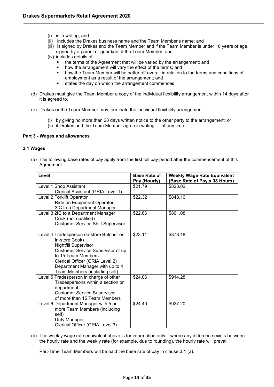- (i) is in writing; and
- (ii) includes the Drakes business name and the Team Member's name; and
- (iii) is signed by Drakes and the Team Member and if the Team Member is under 18 years of age, signed by a parent or guardian of the Team Member; and
- (iv) includes details of:
	- the terms of the Agreement that will be varied by the arrangement; and how the arrangement will vary the effect of the terms; and
	- how the arrangement will vary the effect of the terms; and
	- **•** how the Team Member will be better off overall in relation to the terms and conditions of employment as a result of the arrangement; and
	- states the day on which the arrangement commences.
- (d) Drakes must give the Team Member a copy of the individual flexibility arrangement within 14 days after it is agreed to.
- (e) Drakes or the Team Member may terminate the individual flexibility arrangement:
	- (i) by giving no more than 28 days written notice to the other party to the arrangement; or
	- (ii) if Drakes and the Team Member agree in writing at any time.

## <span id="page-13-0"></span>**Part 3 - Wages and allowances**

## <span id="page-13-1"></span>**3.1 Wages**

(a) The following base rates of pay apply from the first full pay period after the commencement of this Agreement:

| Level                                     | <b>Base Rate of</b> | <b>Weekly Wage Rate Equivalent</b> |
|-------------------------------------------|---------------------|------------------------------------|
|                                           | Pay (Hourly)        | (Base Rate of Pay x 38 Hours)      |
| Level 1 Shop Assistant                    | \$21.79             | \$828.02                           |
| Clerical Assistant (GRIA Level 1)         |                     |                                    |
| Level 2 Forklift Operator                 | \$22.32             | \$848.16                           |
| Ride on Equipment Operator                |                     |                                    |
| 3IC to a Department Manager               |                     |                                    |
| Level 3 2IC to a Department Manager       | \$22.66             | \$861.08                           |
| Cook (not qualified)                      |                     |                                    |
| <b>Customer Service Shift Supervisor</b>  |                     |                                    |
|                                           |                     |                                    |
| Level 4 Tradesperson (in-store Butcher or | \$23.11             | \$878.18                           |
| in-store Cook)                            |                     |                                    |
| <b>Nightfill Supervisor</b>               |                     |                                    |
| Customer Service Supervisor of up         |                     |                                    |
| to 15 Team Members                        |                     |                                    |
| Clerical Officer (GRIA Level 2)           |                     |                                    |
| Department Manager with up to 4           |                     |                                    |
| Team Members (including self)             |                     |                                    |
| Level 5 Tradesperson in charge of other   | \$24.06             | \$914.28                           |
| Tradespersons within a section or         |                     |                                    |
| department                                |                     |                                    |
| <b>Customer Service Supervisor</b>        |                     |                                    |
| of more than 15 Team Members              |                     |                                    |
| Level 6 Department Manager with 5 or      | \$24.40             | \$927.20                           |
| more Team Members (including              |                     |                                    |
| self)                                     |                     |                                    |
| Duty Manager                              |                     |                                    |
| Clerical Officer (GRIA Level 3)           |                     |                                    |

(b) The weekly wage rate equivalent above is for information only – where any difference exists between the hourly rate and the weekly rate (for example, due to rounding), the hourly rate will prevail.

Part-Time Team Members will be paid the base rate of pay in clause 3.1 (a).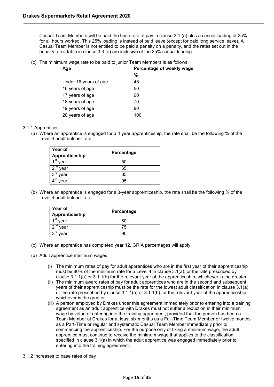Casual Team Members will be paid the base rate of pay in clause 3.1 (a) plus a casual loading of 25% for all hours worked. This 25% loading is instead of paid leave (except for paid long service leave). A Casual Team Member is not entitled to be paid a penalty on a penalty, and the rates set out in the penalty rates table in clause 3.3 (a) are inclusive of the 25% casual loading.

(c) The minimum wage rate to be paid to junior Team Members is as follows:

| Age                   | Percentage of weekly wage |
|-----------------------|---------------------------|
|                       | %                         |
| Under 16 years of age | 45                        |
| 16 years of age       | 50                        |
| 17 years of age       | 60                        |
| 18 years of age       | 70                        |
| 19 years of age       | 80                        |
| 20 years of age       | 100                       |

## <span id="page-14-0"></span>3.1.1 Apprentices

(a) Where an apprentice is engaged for a 4 year apprenticeship, the rate shall be the following % of the Level 4 adult butcher rate:

| <b>Year of</b><br>Apprenticeship | Percentage |  |
|----------------------------------|------------|--|
| ⊿st<br>year                      | 50         |  |
| $2^{nd}$<br>year                 | 65         |  |
| $3^{\text{rd}}$<br>year          | 85         |  |
| ∧ear                             | 95         |  |

(b) Where an apprentice is engaged for a 3-year apprenticeship, the rate shall be the following % of the Level 4 adult butcher rate:

| <b>Year of</b><br>Apprenticeship | Percentage |
|----------------------------------|------------|
| ⊿st<br>vear                      | 60         |
| .nd<br>year                      | 75         |
| $3^{\text{rd}}$<br>vear          |            |

- (c) Where an apprentice has completed year 12, GRIA percentages will apply.
- (d) Adult apprentice minimum wages
	- (i) The minimum rates of pay for adult apprentices who are in the first year of their apprenticeship must be 80% of the minimum rate for a Level 4 in clause 3.1(a), or the rate prescribed by clause 3.1.1(a) or 3.1.1(b) for the relevant year of the apprenticeship, whichever is the greater.
	- (ii) The minimum award rates of pay for adult apprentices who are in the second and subsequent years of their apprenticeship must be the rate for the lowest adult classification in clause 3.1(a), or the rate prescribed by clause  $3.1.1(a)$  or  $3.1.1(b)$  for the relevant year of the apprenticeship, whichever is the greater.
	- (iii) A person employed by Drakes under this agreement immediately prior to entering into a training agreement as an adult apprentice with Drakes must not suffer a reduction in their minimum wage by virtue of entering into the training agreement, provided that the person has been a Team Member at Drakes for at least six months as a Full-Time Team Member or twelve months as a Part-Time or regular and systematic Casual Team Member immediately prior to commencing the apprenticeship. For the purpose only of fixing a minimum wage, the adult apprentice must continue to receive the minimum wage that applies to the classification specified in clause 3.1(a) in which the adult apprentice was engaged immediately prior to entering into the training agreement.
- <span id="page-14-1"></span>3.1.2 Increases to base rates of pay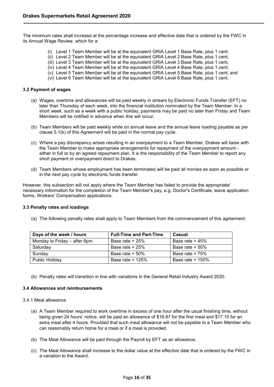The minimum rates shall increase at the percentage increase and effective date that is ordered by the FWC in its Annual Wage Review, which for a:

- (i) Level 1 Team Member will be at the equivalent GRIA Level 1 Base Rate, plus 1 cent;
- (ii) Level 2 Team Member will be at the equivalent GRIA Level 2 Base Rate, plus 1 cent;
- (iii) Level 3 Team Member will be at the equivalent GRIA Level 3 Base Rate, plus 1 cent,
- (iv) Level 4 Team Member will be at the equivalent GRIA Level 4 Base Rate, plus 1 cent;
- (v) Level 5 Team Member will be at the equivalent GRIA Level 5 Base Rate, plus 1 cent; and
- (vi) Level 6 Team Member will be at the equivalent GRIA Level 6 Base Rate, plus 1 cent.

#### <span id="page-15-0"></span>**3.2 Payment of wages**

`

- (a) Wages, overtime and allowances will be paid weekly in arrears by Electronic Funds Transfer (EFT) no later than Thursday of each week, into the financial institution nominated by the Team Member. In a short week, such as a week with a public holiday, payments may be paid no later than Friday and Team Members will be notified in advance when this will occur.
- (b) Team Members will be paid weekly while on annual leave and the annual leave loading payable as per clause 5.1(k) of this Agreement will be paid in the normal pay cycle.
- (c) Where a pay discrepancy arises resulting in an overpayment to a Team Member, Drakes will liaise with the Team Member to make appropriate arrangements for repayment of the overpayment amount either in full or by an agreed repayment plan. It is the responsibility of the Team Member to report any short payment or overpayment direct to Drakes.
- (d) Team Members whose employment has been terminated will be paid all monies as soon as possible or in the next pay cycle by electronic funds transfer.

However, this subsection will not apply where the Team Member has failed to provide the appropriate/ necessary information for the completion of the Team Member's pay, e.g. Doctor's Certificate, leave application forms, Workers' Compensation applications.

## <span id="page-15-1"></span>**3.3 Penalty rates and loadings**

(a) The following penalty rates shall apply to Team Members from the commencement of this agreement:

| Days of the week / hours     | <b>Full-Time and Part-Time</b> | Casual             |
|------------------------------|--------------------------------|--------------------|
| Monday to Friday – after 6pm | Base rate $+25%$               | Base rate $+45%$   |
| Saturday                     | Base rate + 25%                | Base rate $+50%$   |
| Sundav                       | Base rate $+50\%$              | Base rate $+75%$   |
| <b>Public Holidav</b>        | Base rate $+$ 125%             | Base rate $+$ 150% |

(b) Penalty rates will transition in line with variations in the General Retail Industry Award 2020.

#### <span id="page-15-2"></span>**3.4 Allowances and reimbursements**

- <span id="page-15-3"></span>3.4.1 Meal allowance
	- (a) A Team Member required to work overtime in excess of one hour after the usual finishing time, without being given 24 hours' notice, will be paid an allowance of \$18.87 for the first meal and \$17.10 for an extra meal after 4 hours. Provided that such meal allowance will not be payable to a Team Member who can reasonably return home for a meal or if a meal is provided.
	- (b) The Meal Allowance will be paid through the Payroll by EFT as an allowance.
	- (c) The Meal Allowance shall increase to the dollar value at the effective date that is ordered by the FWC in a variation to the Award.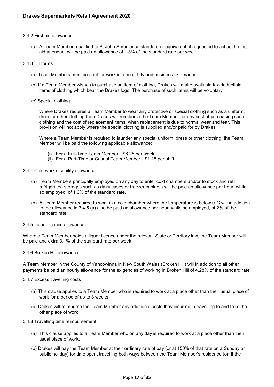## <span id="page-16-0"></span>3.4.2 First aid allowance

(a) A Team Member, qualified to St John Ambulance standard or equivalent, if requested to act as the first aid attendant will be paid an allowance of 1.3% of the [standard rate](http://awardviewer.fwo.gov.au/award/show/MA000084#P109_6856) per week.

## <span id="page-16-1"></span>3.4.3 Uniforms

- (a) Team Members must present for work in a neat, tidy and business-like manner.
- (b) If a Team Member wishes to purchase an item of clothing, Drakes will make available tax-deductible items of clothing which bear the Drakes logo. The purchase of such items will be voluntary.
- (c) Special clothing

Where Drakes requires a Team Member to wear any protective or special clothing such as a uniform, dress or other clothing then Drakes will reimburse the Team Member for any cost of purchasing such clothing and the cost of replacement items, when replacement is due to normal wear and tear. This provision will not apply where the special clothing is supplied and/or paid for by Drakes.

Where a Team Member is required to launder any special uniform, dress or other clothing, the Team Member will be paid the following applicable allowance:

- (i) For a Full-Time Team Member—\$6.25 per week;
- (ii) For a Part-Time or Casual Team Member—\$1.25 per shift.
- <span id="page-16-2"></span>3.4.4 Cold work disability allowance
	- (a) Team Members principally employed on any day to enter cold chambers and/or to stock and refill refrigerated storages such as dairy cases or freezer cabinets will be paid an allowance per hour, while so employed, of 1.3% of the standard rate.
	- (b) A Team Member required to work in a cold chamber where the temperature is below 0°C will in addition to the allowance in 3.4.5 (a) also be paid an allowance per hour, while so employed, of 2% of the standard rate.
- <span id="page-16-3"></span>3.4.5 Liquor licence allowance

Where a Team Member holds a liquor licence under the relevant State or Territory law, the Team Member will be paid and extra 3.1% of the standard rate per week.

<span id="page-16-4"></span>3.4.6 Broken Hill allowance

A Team Member in the County of Yancowinna in New South Wales (Broken Hill) will in addition to all other payments be paid an hourly allowance for the exigencies of working in Broken Hill of 4.28% of the standard rate.

## <span id="page-16-5"></span>3.4.7 Excess travelling costs

- (a) This clause applies to a Team Member who is required to work at a place other than their usual place of work for a period of up to 3 weeks.
- (b) Drakes will reimburse the Team Member any additional costs they incurred in travelling to and from the other place of work.
- <span id="page-16-6"></span>3.4.8 Travelling time reimbursement
	- (a) This clause applies to a Team Member who on any day is required to work at a place other than their usual place of work.
	- (b) Drakes will pay the Team Member at their ordinary rate of pay (or at 150% of that rate on a Sunday or public holiday) for time spent travelling both ways between the Team Member's residence (or, if the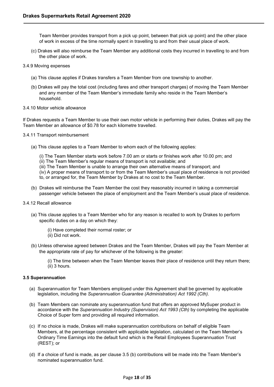Team Member provides transport from a pick up point, between that pick up point) and the other place of work in excess of the time normally spent in travelling to and from their usual place of work.

- (c) Drakes will also reimburse the Team Member any additional costs they incurred in travelling to and from the other place of work.
- <span id="page-17-0"></span>3.4.9 Moving expenses
	- (a) This clause applies if Drakes transfers a Team Member from one township to another.
	- (b) Drakes will pay the total cost (including fares and other transport charges) of moving the Team Member and any member of the Team Member's immediate family who reside in the Team Member's household.
- <span id="page-17-1"></span>3.4.10 Motor vehicle allowance

If Drakes requests a Team Member to use their own motor vehicle in performing their duties, Drakes will pay the Team Member an allowance of \$0.78 for each kilometre travelled.

- <span id="page-17-2"></span>3.4.11 Transport reimbursement
	- (a) This clause applies to a Team Member to whom each of the following applies:
		- (i) The Team Member starts work before 7.00 am or starts or finishes work after 10.00 pm; and
		- (ii) The Team Member's regular means of transport is not available; and
		- (iii) The Team Member is unable to arrange their own alternative means of transport; and
		- (iv) A proper means of transport to or from the Team Member's usual place of residence is not provided to, or arranged for, the Team Member by Drakes at no cost to the Team Member.
	- (b) Drakes will reimburse the Team Member the cost they reasonably incurred in taking a commercial passenger vehicle between the place of employment and the Team Member's usual place of residence.
- <span id="page-17-3"></span>3.4.12 Recall allowance
	- (a) This clause applies to a Team Member who for any reason is recalled to work by Drakes to perform specific duties on a day on which they:
		- (i) Have completed their normal roster; or
		- (ii) Did not work.
	- (b) Unless otherwise agreed between Drakes and the Team Member, Drakes will pay the Team Member at the appropriate rate of pay for whichever of the following is the greater:
		- (i) The time between when the Team Member leaves their place of residence until they return there; (ii) 3 hours.

# <span id="page-17-4"></span>**3.5 Superannuation**

- (a) Superannuation for Team Members employed under this Agreement shall be governed by applicable legislation, including the *Superannuation Guarantee (Administration) Act 1992 (Cth).*
- (b) Team Members can nominate any superannuation fund that offers an approved MySuper product in accordance with the *Superannuation Industry (Supervision) Act 1993 (Cth)* by completing the applicable Choice of Super form and providing all required information.
- (c) If no choice is made, Drakes will make superannuation contributions on behalf of eligible Team Members, at the percentage consistent with applicable legislation, calculated on the Team Member's Ordinary Time Earnings into the default fund which is the Retail Employees Superannuation Trust (REST); or
- (d) If a choice of fund is made, as per clause 3.5 (b) contributions will be made into the Team Member's nominated superannuation fund.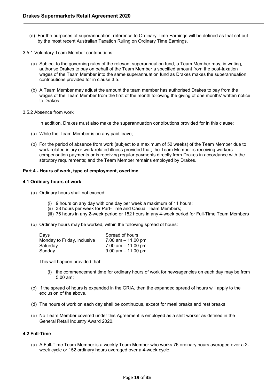- (e) For the purposes of superannuation, reference to Ordinary Time Earnings will be defined as that set out by the most recent Australian Taxation Ruling on Ordinary Time Earnings.
- <span id="page-18-0"></span>3.5.1 Voluntary Team Member contributions
	- (a) Subject to the governing rules of the relevant superannuation fund, a Team Member may, in writing, authorise Drakes to pay on behalf of the Team Member a specified amount from the post-taxation wages of the Team Member into the same superannuation fund as Drakes makes the superannuation contributions provided for in clause 3.5.
	- (b) A Team Member may adjust the amount the team member has authorised Drakes to pay from the wages of the Team Member from the first of the month following the giving of one months' written notice to Drakes.
- <span id="page-18-1"></span>3.5.2 Absence from work

In addition, Drakes must also make the superannuation contributions provided for in this clause:

- (a) While the Team Member is on any paid leave;
- (b) For the period of absence from work (subject to a maximum of 52 weeks) of the Team Member due to work-related injury or work-related illness provided that; the Team Member is receiving workers compensation payments or is receiving regular payments directly from Drakes in accordance with the statutory requirements; and the Team Member remains employed by Drakes.

## <span id="page-18-2"></span>**Part 4 - Hours of work, type of employment, overtime**

## <span id="page-18-3"></span>**4.1 Ordinary hours of work**

- (a) Ordinary hours shall not exceed:
	- (i) 9 hours on any day with one day per week a maximum of 11 hours;
	- (ii) 38 hours per week for Part-Time and Casual Team Members;
	- (iii) 76 hours in any 2-week period or 152 hours in any 4-week period for Full-Time Team Members
- (b) Ordinary hours may be worked, within the following spread of hours:

| Days                        | Spread of hours       |
|-----------------------------|-----------------------|
| Monday to Friday, inclusive | 7.00 am $-$ 11.00 pm  |
| Saturday                    | 7.00 am $-$ 11.00 pm  |
| Sunday                      | $9.00$ am $-11.00$ pm |

This will happen provided that:

- (i) the commencement time for ordinary hours of work for newsagencies on each day may be from 5.00 am;
- (c) If the spread of hours is expanded in the GRIA, then the expanded spread of hours will apply to the exclusion of the above.
- (d) The hours of work on each day shall be continuous, except for meal breaks and rest breaks.
- (e) No Team Member covered under this Agreement is employed as a shift worker as defined in the General Retail Industry Award 2020.

## <span id="page-18-4"></span>**4.2 Full-Time**

(a) A Full-Time Team Member is a weekly Team Member who works 76 ordinary hours averaged over a 2 week cycle or 152 ordinary hours averaged over a 4-week cycle.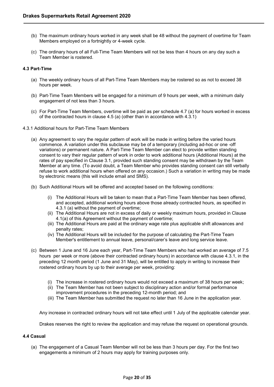- (b) The maximum ordinary hours worked in any week shall be 48 without the payment of overtime for Team Members employed on a fortnightly or 4-week cycle.
- (c) The ordinary hours of all Full-Time Team Members will not be less than 4 hours on any day such a Team Member is rostered.

# <span id="page-19-0"></span>**4.3 Part-Time**

- (a) The weekly ordinary hours of all Part-Time Team Members may be rostered so as not to exceed 38 hours per week.
- (b) Part-Time Team Members will be engaged for a minimum of 9 hours per week, with a minimum daily engagement of not less than 3 hours.
- (c) For Part-Time Team Members, overtime will be paid as per schedule 4.7 (a) for hours worked in excess of the contracted hours in clause 4.5 (a) (other than in accordance with 4.3.1)
- <span id="page-19-1"></span>4.3.1 Additional hours for Part-Time Team Members
	- (a) Any agreement to vary the regular pattern of work will be made in writing before the varied hours commence. A variation under this subclause may be of a temporary (including ad-hoc or one -off variations) or permanent nature. A Part-Time Team Member can elect to provide written standing consent to vary their regular pattern of work in order to work additional hours (Additional Hours) at the rates of pay specified in Clause 3.1, provided such standing consent may be withdrawn by the Team Member at any time. (To avoid doubt, a Team Member who provides standing consent can still verbally refuse to work additional hours when offered on any occasion.) Such a variation in writing may be made by electronic means (this will include email and SMS).
	- (b) Such Additional Hours will be offered and accepted based on the following conditions:
		- (i) The Additional Hours will be taken to mean that a Part-Time Team Member has been offered, and accepted, additional working hours above those already contracted hours, as specified in 4.3.1 (a) without the payment of overtime;
		- (ii) The Additional Hours are not in excess of daily or weekly maximum hours, provided in Clause 4.1(a) of this Agreement without the payment of overtime;
		- (iii) The Additional Hours are paid at the ordinary wage rate plus applicable shift allowances and penalty rates;
		- (iv) The Additional Hours will be included for the purpose of calculating the Part-Time Team Member's entitlement to annual leave, personal/carer's leave and long service leave.
	- (c) Between 1 June and 16 June each year, Part-Time Team Members who had worked an average of 7.5 hours per week or more (above their contracted ordinary hours) in accordance with clause 4.3.1, in the preceding 12 month period (1 June and 31 May), will be entitled to apply in writing to increase their rostered ordinary hours by up to their average per week, providing:
		- (i) The increase in rostered ordinary hours would not exceed a maximum of 38 hours per week;
		- (ii) The Team Member has not been subject to disciplinary action and/or formal performance improvement procedures in the preceding 12-month period; and
		- (iii) The Team Member has submitted the request no later than 16 June in the application year.

Any increase in contracted ordinary hours will not take effect until 1 July of the applicable calendar year.

Drakes reserves the right to review the application and may refuse the request on operational grounds.

# <span id="page-19-2"></span>**4.4 Casual**

(a) The engagement of a Casual Team Member will not be less than 3 hours per day. For the first two engagements a minimum of 2 hours may apply for training purposes only.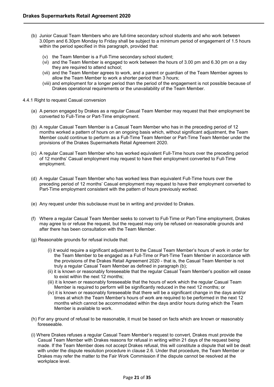- (b) Junior Casual Team Members who are full-time secondary school students and who work between 3.00pm and 6.30pm Monday to Friday shall be subject to a minimum period of engagement of 1.5 hours within the period specified in this paragraph, provided that:
	- (v) the Team Member is a Full-Time secondary school student;
	- (vi) and the Team Member is engaged to work between the hours of 3.00 pm and 6.30 pm on a day they are required to attend school;
	- (vii) and the Team Member agrees to work, and a parent or guardian of the Team Member agrees to allow the Team Member to work a shorter period than 3 hours;
	- (viii) and employment for a longer period than the period of the engagement is not possible because of Drakes operational requirements or the unavailability of the Team Member.
- <span id="page-20-0"></span>4.4.1 Right to request Casual conversion
	- (a) A person engaged by Drakes as a regular Casual Team Member may request that their employment be converted to Full-Time or Part-Time employment.
	- (b) A regular Casual Team Member is a Casual Team Member who has in the preceding period of 12 months worked a pattern of hours on an ongoing basis which, without significant adjustment, the Team Member could continue to perform as a Full-Time Team Member or Part-Time Team Member under the provisions of the Drakes Supermarkets Retail Agreement 2020.
	- (c) A regular Casual Team Member who has worked equivalent Full-Time hours over the preceding period of 12 months' Casual employment may request to have their employment converted to Full-Time employment.
	- (d) A regular Casual Team Member who has worked less than equivalent Full-Time hours over the preceding period of 12 months' Casual employment may request to have their employment converted to Part-Time employment consistent with the pattern of hours previously worked.
	- (e) Any request under this subclause must be in writing and provided to Drakes.
	- (f) Where a regular Casual Team Member seeks to convert to Full-Time or Part-Time employment, Drakes may agree to or refuse the request, but the request may only be refused on reasonable grounds and after there has been consultation with the Team Member.
	- (g) Reasonable grounds for refusal include that:
		- (i) it would require a significant adjustment to the Casual Team Member's hours of work in order for the Team Member to be engaged as a Full-Time or Part-Time Team Member in accordance with the provisions of the Drakes Retail Agreement 2020 - that is, the Casual Team Member is not truly a regular Casual Team Member as defined in paragraph [\(b\);](http://awardviewer.fwo.gov.au/award/show/MA000084#P275_23710)
		- (ii) it is known or reasonably foreseeable that the regular Casual Team Member's position will cease to exist within the next 12 months;
		- (iii) it is known or reasonably foreseeable that the hours of work which the regular Casual Team Member is required to perform will be significantly reduced in the next 12 months; or
		- (iv) it is known or reasonably foreseeable that there will be a significant change in the days and/or times at which the Team Member's hours of work are required to be performed in the next 12 months which cannot be accommodated within the days and/or hours during which the Team Member is available to work.
	- (h) For any ground of refusal to be reasonable, it must be based on facts which are known or reasonably foreseeable.
	- (i) Where Drakes refuses a regular Casual Team Member's request to convert, Drakes must provide the Casual Team Member with Drakes reasons for refusal in writing within 21 days of the request being made. If the Team Member does not accept Drakes refusal, this will constitute a dispute that will be dealt with under the dispute resolution procedure in clause 2.6. Under that procedure, the Team Member or Drakes may refer the matter to the Fair Work Commission if the dispute cannot be resolved at the workplace level.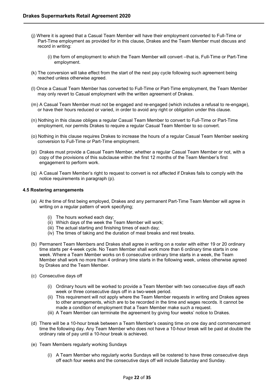- (j) Where it is agreed that a Casual Team Member will have their employment converted to Full-Time or Part-Time employment as provided for in this clause, Drakes and the Team Member must discuss and record in writing:
	- (i) the form of employment to which the Team Member will convert –that is, Full-Time or Part-Time employment.
- (k) The conversion will take effect from the start of the next pay cycle following such agreement being reached unless otherwise agreed.
- (l) Once a Casual Team Member has converted to Full-Time or Part-Time employment, the Team Member may only revert to Casual employment with the written agreement of Drakes.
- (m) A Casual Team Member must not be engaged and re-engaged (which includes a refusal to re-engage), or have their hours reduced or varied, in order to avoid any right or obligation under this clause.
- (n) Nothing in this clause obliges a regular Casual Team Member to convert to Full-Time or Part-Time employment, nor permits Drakes to require a regular Casual Team Member to so convert.
- (o) Nothing in this clause requires Drakes to increase the hours of a regular Casual Team Member seeking conversion to Full-Time or Part-Time employment.
- (p) Drakes must provide a Casual Team Member, whether a regular Casual Team Member or not, with a copy of the provisions of this subclause within the first 12 months of the Team Member's first engagement to perform work.
- (q) A Casual Team Member's right to request to convert is not affected if Drakes fails to comply with the notice requirements in paragraph [\(p\).](http://awardviewer.fwo.gov.au/award/show/MA000084#P295_27730)

## <span id="page-21-0"></span>**4.5 Rostering arrangements**

- (a) At the time of first being employed, Drakes and any permanent Part-Time Team Member will agree in writing on a regular pattern of work specifying;
	- (i) The hours worked each day;
	- (ii) Which days of the week the Team Member will work;
	- (iii) The actual starting and finishing times of each day;
	- (iv) The times of taking and the duration of meal breaks and rest breaks.
- (b) Permanent Team Members and Drakes shall agree in writing on a roster with either 19 or 20 ordinary time starts per 4-week cycle. No Team Member shall work more than 6 ordinary time starts in one week. Where a Team Member works on 6 consecutive ordinary time starts in a week, the Team Member shall work no more than 4 ordinary time starts in the following week, unless otherwise agreed by Drakes and the Team Member.
- (c) Consecutive days off
	- (i) Ordinary hours will be worked to provide a Team Member with two consecutive days off each week or three consecutive days off in a two-week period.
	- (ii) This requirement will not apply where the Team Member requests in writing and Drakes agrees to other arrangements, which are to be recorded in the time and wages records. It cannot be made a condition of employment that a Team Member make such a request.
	- (iii) A Team Member can terminate the agreement by giving four weeks' notice to Drakes.
- (d) There will be a 10-hour break between a Team Member's ceasing time on one day and commencement time the following day. Any Team Member who does not have a 10-hour break will be paid at double the ordinary rate of pay until a 10-hour break is achieved.
- (e) Team Members regularly working Sundays
	- (i) A Team Member who regularly works Sundays will be rostered to have three consecutive days off each four weeks and the consecutive days off will include Saturday and Sunday.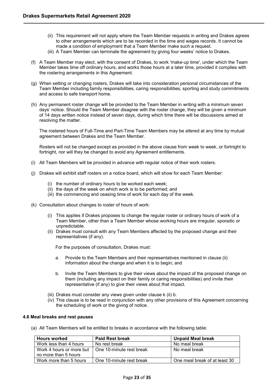- (ii) This requirement will not apply where the Team Member requests in writing and Drakes agrees to other arrangements which are to be recorded in the time and wages records. It cannot be made a condition of employment that a Team Member make such a request.
- (iii) A Team Member can terminate the agreement by giving four weeks' notice to Drakes.
- (f) A Team Member may elect, with the consent of Drakes, to work 'make-up time', under which the Team Member takes time off ordinary hours, and works those hours at a later time, provided it complies with the rostering arrangements in this Agreement.
- (g) When setting or changing rosters, Drakes will take into consideration personal circumstances of the Team Member including family responsibilities, caring responsibilities, sporting and study commitments and access to safe transport home.
- (h) Any permanent roster change will be provided to the Team Member in writing with a minimum seven days' notice. Should the Team Member disagree with the roster change, they will be given a minimum of 14 days written notice instead of seven days, during which time there will be discussions aimed at resolving the matter.

The rostered hours of Full-Time and Part-Time Team Members may be altered at any time by mutual agreement between Drakes and the Team Member.

Rosters will not be changed except as provided in the above clause from week to week, or fortnight to fortnight, nor will they be changed to avoid any Agreement entitlements.

- (i) All Team Members will be provided in advance with regular notice of their work rosters.
- (j) Drakes will exhibit staff rosters on a notice board, which will show for each Team Member:
	- (i) the number of ordinary hours to be worked each week;
	- (ii) the days of the week on which work is to be performed; and
	- (iii) the commencing and ceasing time of work for each day of the week.
- (k) Consultation about changes to roster of hours of work:
	- (i) This applies if Drakes proposes to change the regular roster or ordinary hours of work of a Team Member, other than a Team Member whose working hours are irregular, sporadic or unpredictable.
	- (ii) Drakes must consult with any Team Members affected by the proposed change and their representatives (if any).

For the purposes of consultation, Drakes must:

- a. Provide to the Team Members and their representatives mentioned in clause (ii) information about the change and when it is to begin; and
- b. Invite the Team Members to give their views about the impact of the proposed change on them (including any impact on their family or caring responsibilities) and invite their representative (if any) to give their views about that impact.
- (iii) Drakes must consider any views given under clause k (ii) b.
- (iv) This clause is to be read in conjunction with any other provisions of this Agreement concerning the scheduling of work or the giving of notice.

## <span id="page-22-0"></span>**4.6 Meal breaks and rest pauses**

(a) All Team Members will be entitled to breaks in accordance with the following table:

| <b>Hours worked</b>      | <b>Paid Rest break</b>   | <b>Unpaid Meal break</b>      |
|--------------------------|--------------------------|-------------------------------|
| Work less than 4 hours   | No rest break            | No meal break                 |
| Work 4 hours or more but | One 10-minute rest break | No meal break                 |
| no more than 5 hours     |                          |                               |
| Work more than 5 hours   | One 10-minute rest break | One meal break of at least 30 |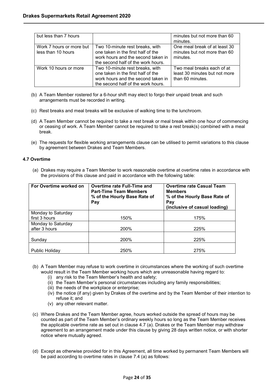| but less than 7 hours                          |                                                                                                                                                   | minutes but not more than 60                                                    |
|------------------------------------------------|---------------------------------------------------------------------------------------------------------------------------------------------------|---------------------------------------------------------------------------------|
|                                                |                                                                                                                                                   | minutes.                                                                        |
| Work 7 hours or more but<br>less than 10 hours | Two 10-minute rest breaks, with<br>one taken in the first half of the<br>work hours and the second taken in<br>the second half of the work hours. | One meal break of at least 30<br>minutes but not more than 60<br>minutes.       |
| Work 10 hours or more                          | Two 10-minute rest breaks, with<br>one taken in the first half of the<br>work hours and the second taken in<br>the second half of the work hours. | Two meal breaks each of at<br>least 30 minutes but not more<br>than 60 minutes. |

- (b) A Team Member rostered for a 6-hour shift may elect to forgo their unpaid break and such arrangements must be recorded in writing.
- (c) Rest breaks and meal breaks will be exclusive of walking time to the lunchroom.
- (d) A Team Member cannot be required to take a rest break or meal break within one hour of commencing or ceasing of work. A Team Member cannot be required to take a rest break(s) combined with a meal break.
- (e) The requests for flexible working arrangements clause can be utilised to permit variations to this clause by agreement between Drakes and Team Members.

## <span id="page-23-0"></span>**4.7 Overtime**

(a) Drakes may require a Team Member to work reasonable overtime at overtime rates in accordance with the provisions of this clause and paid in accordance with the following table:

| For Overtime worked on | Overtime rate Full-Time and<br><b>Part-Time Team Members</b><br>% of the Hourly Base Rate of<br>Pay | <b>Overtime rate Casual Team</b><br><b>Members</b><br>% of the Hourly Base Rate of<br>Pay<br>(inclusive of casual loading) |
|------------------------|-----------------------------------------------------------------------------------------------------|----------------------------------------------------------------------------------------------------------------------------|
| Monday to Saturday     |                                                                                                     |                                                                                                                            |
| first 3 hours          | 150%                                                                                                | 175%                                                                                                                       |
| Monday to Saturday     |                                                                                                     |                                                                                                                            |
| after 3 hours          | 200%                                                                                                | 225%                                                                                                                       |
|                        |                                                                                                     |                                                                                                                            |
| Sundav                 | 200%                                                                                                | 225%                                                                                                                       |
|                        |                                                                                                     |                                                                                                                            |
| Public Holiday         | 250%                                                                                                | 275%                                                                                                                       |

- (b) A Team Member may refuse to work overtime in circumstances where the working of such overtime would result in the Team Member working hours which are unreasonable having regard to:
	- (i) any risk to the Team Member's health and safety;
	- (ii) the Team Member's personal circumstances including any family responsibilities;
	- (iii) the needs of the workplace or enterprise;
	- (iv) the notice (if any) given by Drakes of the overtime and by the Team Member of their intention to refuse it; and
	- (v) any other relevant matter.
- (c) Where Drakes and the Team Member agree, hours worked outside the spread of hours may be counted as part of the Team Member's ordinary weekly hours so long as the Team Member receives the applicable overtime rate as set out in clause 4.7 (a). Drakes or the Team Member may withdraw agreement to an arrangement made under this clause by giving 28 days written notice, or with shorter notice where mutually agreed.
- (d) Except as otherwise provided for in this Agreement, all time worked by permanent Team Members will be paid according to overtime rates in clause 7.4 (a) as follows: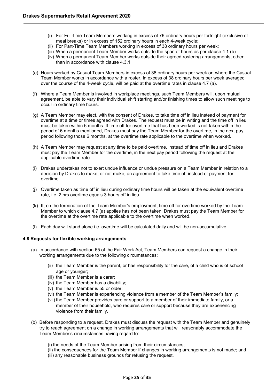- (i) For Full-time Team Members working in excess of 76 ordinary hours per fortnight (exclusive of meal breaks) or in excess of 152 ordinary hours in each 4-week cycle;
- (ii) For Part-Time Team Members working in excess of 38 ordinary hours per week;
- (iii) When a permanent Team Member works outside the span of hours as per clause 4.1 (b)
- (iv) When a permanent Team Member works outside their agreed rostering arrangements, other than in accordance with clause 4.3.1
- (e) Hours worked by Casual Team Members in excess of 38 ordinary hours per week or, where the Casual Team Member works in accordance with a roster, in excess of 38 ordinary hours per week averaged over the course of the 4-week cycle, will be paid at the overtime rates in clause 4.7 (a).
- (f) Where a Team Member is involved in workplace meetings, such Team Members will, upon mutual agreement, be able to vary their individual shift starting and/or finishing times to allow such meetings to occur in ordinary time hours.
- (g) A Team Member may elect, with the consent of Drakes, to take time off in lieu instead of payment for overtime at a time or times agreed with Drakes. The request must be in writing and the time off in lieu must be taken within 6 months. If time off for overtime that has been worked is not taken within the period of 6 months mentioned, Drakes must pay the Team Member for the overtime, in the next pay period following those 6 months, at the overtime rate applicable to the overtime when worked.
- (h) A Team Member may request at any time to be paid overtime, instead of time off in lieu and Drakes must pay the Team Member for the overtime, in the next pay period following the request at the applicable overtime rate.
- (i) Drakes undertakes not to exert undue influence or undue pressure on a Team Member in relation to a decision by Drakes to make, or not make, an agreement to take time off instead of payment for overtime.
- (j) Overtime taken as time off in lieu during ordinary time hours will be taken at the equivalent overtime rate, i.e. 2 hrs overtime equals 3 hours off in lieu.
- (k) If, on the termination of the Team Member's employment, time off for overtime worked by the Team Member to which clause 4.7 (a) applies has not been taken, Drakes must pay the Team Member for the overtime at the overtime rate applicable to the overtime when worked.
- (l) Each day will stand alone i.e. overtime will be calculated daily and will be non-accumulative.

## <span id="page-24-0"></span>**4.8 Requests for flexible working arrangements**

- (a) In accordance with section 65 of the Fair Work Act, Team Members can request a change in their working arrangements due to the following circumstances:
	- (ii) the Team Member is the parent, or has responsibility for the care, of a child who is of school age or younger;
	- (iii) the Team Member is a carer;
	- (iv) the Team Member has a disability;
	- (v) the Team Member is 55 or older;
	- (vi) the Team Member is experiencing violence from a member of the Team Member's family;
	- (vii) the Team Member provides care or support to a member of their immediate family, or a member of their household, who requires care or support because they are experiencing violence from their family.
- (b) Before responding to a request, Drakes must discuss the request with the Team Member and genuinely try to reach agreement on a change in working arrangements that will reasonably accommodate the Team Member's circumstances having regard to:
	- (i) the needs of the Team Member arising from their circumstances;
	- (ii) the consequences for the Team Member if changes in working arrangements is not made; and (iii) any reasonable business grounds for refusing the request.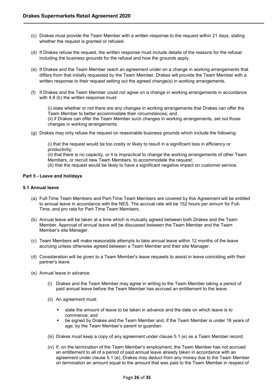- (c) Drakes must provide the Team Member with a written response to the request within 21 days, stating whether the request is granted or refused.
- (d) If Drakes refuse the request, the written response must include details of the reasons for the refusal including the business grounds for the refusal and how the grounds apply.
- (e) If Drakes and the Team Member reach an agreement under on a change in working arrangements that differs from that initially requested by the Team Member, Drakes will provide the Team Member with a written response to their request setting out the agreed change(s) in working arrangements.
- (f) If Drakes and the Team Member could not agree on a change in working arrangements in accordance with 4.8 (b) the written response must:

(i) state whether or not there are any changes in working arrangements that Drakes can offer the Team Member to better accommodate their circumstances; and (ii) if Drakes can offer the Team Member such changes in working arrangements, set out those changes in working arrangements.

(g) Drakes may only refuse the request on reasonable business grounds which include the following:

(i) that the request would be too costly or likely to result in a significant loss in efficiency or productivity;

(ii) that there is no capacity, or it is impractical to change the working arrangements of other Team Members, or recruit new Team Members, to accommodate the request;

(iii) that the request would be likely to have a significant negative impact on customer service.

## <span id="page-25-0"></span>**Part 5 - Leave and holidays**

## <span id="page-25-1"></span>**5.1 Annual leave**

- (a) Full-Time Team Members and Part-Time Team Members are covered by this Agreement will be entitled to annual leave in accordance with the NES. The accrual rate will be 152 hours per annum for Full-Time, and pro rata for Part-Time Team Members.
- (b) Annual leave will be taken at a time which is mutually agreed between both Drakes and the Team Member. Approval of annual leave will be discussed between the Team Member and the Team Member's site Manager.
- (c) Team Members will make reasonable attempts to take annual leave within 12 months of the leave accruing unless otherwise agreed between a Team Member and their site Manager.
- (d) Consideration will be given to a Team Member's leave requests to assist in leave coinciding with their partner's leave.
- (e) Annual leave in advance
	- (i) Drakes and the Team Member may agree in writing to the Team Member taking a period of paid annual leave before the Team Member has accrued an entitlement to the leave.
	- (ii) An agreement must:
		- state the amount of leave to be taken in advance and the date on which leave is to commence; and
		- be signed by Drakes and the Team Member and, if the Team Member is under 18 years of age, by the Team Member's parent or guardian.
	- (iii) Drakes must keep a copy of any agreement under clause 5.1 (e) as a Team Member record.
	- (iv) If, on the termination of the Team Member's employment, the Team Member has not accrued an entitlement to all of a period of paid annual leave already taken in accordance with an agreement under clause 5.1 (e), Drakes may deduct from any money due to the Team Member on termination an amount equal to the amount that was paid to the Team Member in respect of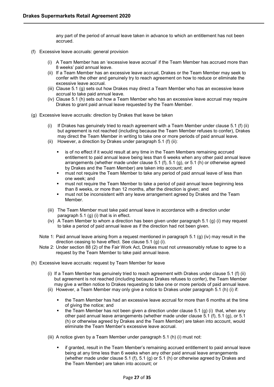any part of the period of annual leave taken in advance to which an entitlement has not been accrued.

- (f) Excessive leave accruals: general provision
	- (i) A Team Member has an 'excessive leave accrual' if the Team Member has accrued more than 8 weeks' paid annual leave.
	- (ii) If a Team Member has an excessive leave accrual, Drakes or the Team Member may seek to confer with the other and genuinely try to reach agreement on how to reduce or eliminate the excessive leave accrual.
	- (iii) Clause [5.1](http://awardviewer.fwo.gov.au/award/show/MA000084#P744_74207) (g) sets out how Drakes may direct a Team Member who has an excessive leave accrual to take paid annual leave.
	- (iv) Clause 5.1 (h) sets out how a Team Member who has an excessive leave accrual may require Drakes to grant paid annual leave requested by the Team Member.
- (g) Excessive leave accruals: direction by Drakes that leave be taken
	- (i) If Drakes has genuinely tried to reach agreement with a Team Member under clause [5.1](http://awardviewer.fwo.gov.au/award/show/MA000084#P741_73721) (f) (ii) but agreement is not reached (including because the Team Member refuses to confer), Drakes may direct the Team Member in writing to take one or more periods of paid annual leave.
	- (ii) However, a direction by Drakes under paragraph 5.1 (f) [\(ii\):](http://awardviewer.fwo.gov.au/award/show/MA000084#P746_74319)
		- is of no effect if it would result at any time in the Team Members remaining accrued entitlement to paid annual leave being less than 6 weeks when any other paid annual leave arrangements (whether made under clause 5.1 (f), 5.1 (g), or 5.1 (h) or otherwise agreed by Drakes and the Team Member) are taken into account; and
		- must not require the Team Member to take any period of paid annual leave of less than one week; and
		- must not require the Team Member to take a period of paid annual leave beginning less than 8 weeks, or more than 12 months, after the direction is given; and
		- **EXED FE** must not be inconsistent with any leave arrangement agreed by Drakes and the Team Member.
	- (iii) The Team Member must take paid annual leave in accordance with a direction under paragraph 5.1 (g) [\(i\)](http://awardviewer.fwo.gov.au/award/show/MA000084#P746_74319) that is in effect.
	- (iv) A Team Member to whom a direction has been given under paragraph 5.1 (g) [\(i\)](http://awardviewer.fwo.gov.au/award/show/MA000084#P746_74319) may request to take a period of paid annual leave as if the direction had not been given.
	- Note 1: Paid annual leave arising from a request mentioned in paragraph 5.1 (g) [\(iv\)](http://awardviewer.fwo.gov.au/award/show/MA000084#P753_75432) may result in the direction ceasing to have effect. See clause 5.1 (g) (i).
	- Note 2: Under section 88 (2) of the Fair Work Act, Drakes must not unreasonably refuse to agree to a request by the Team Member to take paid annual leave.
- (h) Excessive leave accruals: request by Team Member for leave
	- (i) If a Team Member has genuinely tried to reach agreement with Drakes under clause 5.1 (f) (ii) but agreement is not reached (including because Drakes refuses to confer), the Team Member may give a written notice to Drakes requesting to take one or more periods of paid annual leave.
	- (ii) However, a Team Member may only give a notice to Drakes under paragraph 5.1 (h) [\(i\)](http://awardviewer.fwo.gov.au/award/show/MA000084#P758_76024) if:
		- the Team Member has had an excessive leave accrual for more than 6 months at the time of giving the notice; and
		- the Team Member has not been given a direction under clause  $5.1$  (g) (i) that, when any other paid annual leave arrangements (whether made under clause 5.1 (f), 5.1 (g), or 5.1 (h) or otherwise agreed by Drakes and the Team Member) are taken into account, would eliminate the Team Member's excessive leave accrual.
	- (iii) A notice given by a Team Member under paragraph 5.1 (h) [\(i\)](http://awardviewer.fwo.gov.au/award/show/MA000084#P758_76024) must not:
		- if granted, result in the Team Member's remaining accrued entitlement to paid annual leave being at any time less than 6 weeks when any other paid annual leave arrangements (whether made under clause 5.1 (f), 5.1 (g) or 5.1 (h) or otherwise agreed by Drakes and the Team Member) are taken into account; or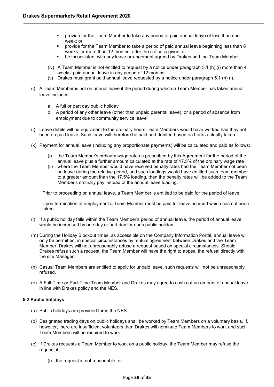- provide for the Team Member to take any period of paid annual leave of less than one week; or
- provide for the Team Member to take a period of paid annual leave beginning less than 8 weeks, or more than 12 months, after the notice is given; or
- be inconsistent with any leave arrangement agreed by Drakes and the Team Member.
- (iv) A Team Member is not entitled to request by a notice under paragraph 5.1 (h) [\(i\)](http://awardviewer.fwo.gov.au/award/show/MA000084#P758_76024) more than 4 weeks' paid annual leave in any period of 12 months.
- (v) Drakes must grant paid annual leave requested by a notice under paragraph 5.1 (h) [\(i\).](http://awardviewer.fwo.gov.au/award/show/MA000084#P758_76024)
- (i) A Team Member is not on annual leave if the period during which a Team Member has taken annual leave includes:
	- a. A full or part day public holiday
	- b. A period of any other leave (other than unpaid parental leave), or a period of absence from employment due to community service leave
- (j) Leave debits will be equivalent to the ordinary hours Team Members would have worked had they not been on paid leave. Such leave will therefore be paid and debited based on hours actually taken.
- (k) Payment for annual leave (including any proportionate payments) will be calculated and paid as follows:
	- (i) the Team Member's ordinary wage rate as prescribed by this Agreement for the period of the annual leave plus a further amount calculated at the rate of 17.5% of the ordinary wage rate
	- (ii) where the Team Member would have received penalty rates had the Team Member not been on leave during the relative period, and such loadings would have entitled such team member to a greater amount than the 17.5% loading, then the penalty rates will be added to the Team Member's ordinary pay instead of the annual leave loading.

Prior to proceeding on annual leave, a Team Member is entitled to be paid for the period of leave.

Upon termination of employment a Team Member must be paid for leave accrued which has not been taken.

- (l) If a public holiday falls within the Team Member's period of annual leave, the period of annual leave would be increased by one day or part day for each public holiday.
- (m) During the Holiday Blockout times, as accessible on the Company Information Portal, annual leave will only be permitted, in special circumstances by mutual agreement between Drakes and the Team Member. Drakes will not unreasonably refuse a request based on special circumstances. Should Drakes refuse such a request, the Team Member will have the right to appeal the refusal directly with the site Manager.
- (n) Casual Team Members are entitled to apply for unpaid leave, such requests will not be unreasonably refused.
- (o) A Full-Time or Part-Time Team Member and Drakes may agree to cash out an amount of annual leave in line with Drakes policy and the NES.

# <span id="page-27-0"></span>**5.2 Public holidays**

- (a) Public holidays are provided for in the NES.
- (b) Designated trading days on public holidays shall be worked by Team Members on a voluntary basis. If, however, there are insufficient volunteers then Drakes will nominate Team Members to work and such Team Members will be required to work.
- (c) If Drakes requests a Team Member to work on a public holiday, the Team Member may refuse the request if:
	- (i) the request is not reasonable; or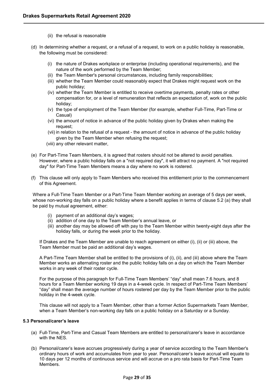- (ii) the refusal is reasonable
- (d) In determining whether a request, or a refusal of a request, to work on a public holiday is reasonable, the following must be considered:
	- (i) the nature of Drakes workplace or enterprise (including operational requirements), and the nature of the work performed by the Team Member;
	- (ii) the Team Member's personal circumstances, including family responsibilities;
	- (iii) whether the Team Member could reasonably expect that Drakes might request work on the public holiday;
	- (iv) whether the Team Member is entitled to receive overtime payments, penalty rates or other compensation for, or a level of remuneration that reflects an expectation of, work on the public holiday;
	- (v) the type of employment of the Team Member (for example, whether Full-Time, Part-Time or Casual)
	- (vi) the amount of notice in advance of the public holiday given by Drakes when making the request;
	- (vii) in relation to the refusal of a request the amount of notice in advance of the public holiday given by the Team Member when refusing the request;
	- (viii) any other relevant matter,
- (e) For Part-Time Team Members, it is agreed that rosters should not be altered to avoid penalties. However, where a public holiday falls on a "not required day", it will attract no payment. A "not required day" for Part-Time Team Members means a day where no work is rostered.
- (f) This clause will only apply to Team Members who received this entitlement prior to the commencement of this Agreement.

Where a Full-Time Team Member or a Part-Time Team Member working an average of 5 days per week, whose non-working day falls on a public holiday where a benefit applies in terms of clause 5.2 (a) they shall be paid by mutual agreement, either:

- (i) payment of an additional day's wages;
- (ii) addition of one day to the Team Member's annual leave, or
- (iii) another day may be allowed off with pay to the Team Member within twenty-eight days after the holiday falls, or during the week prior to the holiday.

If Drakes and the Team Member are unable to reach agreement on either (i), (ii) or (iii) above, the Team Member must be paid an additional day's wages.

A Part-Time Team Member shall be entitled to the provisions of (i), (ii), and (iii) above where the Team Member works an alternating roster and the public holiday falls on a day on which the Team Member works in any week of their roster cycle.

For the purpose of this paragraph for Full-Time Team Members' "day" shall mean 7.6 hours, and 8 hours for a Team Member working 19 days in a 4-week cycle. In respect of Part-Time Team Members' "day" shall mean the average number of hours rostered per day by the Team Member prior to the public holiday in the 4-week cycle.

This clause will not apply to a Team Member, other than a former Action Supermarkets Team Member, when a Team Member's non-working day falls on a public holiday on a Saturday or a Sunday.

## <span id="page-28-0"></span>**5.3 Personal/carer's leave**

- (a) Full-Time, Part-Time and Casual Team Members are entitled to personal/carer's leave in accordance with the NES.
- (b) Personal/carer's leave accrues progressively during a year of service according to the Team Member's ordinary hours of work and accumulates from year to year. Personal/carer's leave accrual will equate to 10 days per 12 months of continuous service and will accrue on a pro rata basis for Part-Time Team Members.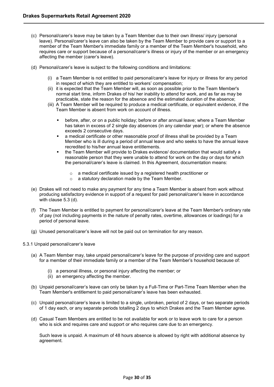- (c) Personal/carer's leave may be taken by a Team Member due to their own illness/ injury (personal leave). Personal/carer's leave can also be taken by the Team Member to provide care or support to a member of the Team Member's immediate family or a member of the Team Member's household, who requires care or support because of a personal/carer's illness or injury of the member or an emergency affecting the member (carer's leave).
- (d) Personal/carer's leave is subject to the following conditions and limitations:
	- (i) a Team Member is not entitled to paid personal/carer's leave for injury or illness for any period in respect of which they are entitled to workers' compensation;
	- (ii) it is expected that the Team Member will, as soon as possible prior to the Team Member's normal start time, inform Drakes of his/ her inability to attend for work, and as far as may be practicable, state the reason for the absence and the estimated duration of the absence;
	- (iii) A Team Member will be required to produce a medical certificate, or equivalent evidence, if the Team Member is absent from work on account of illness.
		- before, after, or on a public holiday; before or after annual leave; where a Team Member has taken in excess of 2 single day absences (in any calendar year); or where the absence exceeds 2 consecutive days.
		- a medical certificate or other reasonable proof of illness shall be provided by a Team Member who is ill during a period of annual leave and who seeks to have the annual leave recredited to his/her annual leave entitlements.
		- the Team Member will provide to Drakes evidence/ documentation that would satisfy a reasonable person that they were unable to attend for work on the day or days for which the personal/carer's leave is claimed. In this Agreement, documentation means:
			- o a medical certificate issued by a registered health practitioner or
			- o a statutory declaration made by the Team Member.
- (e) Drakes will not need to make any payment for any time a Team Member is absent from work without producing satisfactory evidence in support of a request for paid personal/carer's leave in accordance with clause 5.3 (d).
- (f) The Team Member is entitled to payment for personal/carer's leave at the Team Member's ordinary rate of pay (not including payments in the nature of penalty rates, overtime, allowances or loadings) for a period of personal leave.
- (g) Unused personal/carer's leave will not be paid out on termination for any reason.

## <span id="page-29-0"></span>5.3.1 Unpaid personal/carer's leave

- (a) A Team Member may, take unpaid personal/carer's leave for the purpose of providing care and support for a member of their immediate family or a member of the Team Member's household because of:
	- (i) a personal illness, or personal injury affecting the member; or
	- (ii) an emergency affecting the member.
- (b) Unpaid personal/carer's leave can only be taken by a Full-Time or Part-Time Team Member when the Team Member's entitlement to paid personal/carer's leave has been exhausted.
- (c) Unpaid personal/carer's leave is limited to a single, unbroken, period of 2 days, or two separate periods of 1 day each, or any separate periods totalling 2 days to which Drakes and the Team Member agree.
- (d) Casual Team Members are entitled to be not available for work or to leave work to care for a person who is sick and requires care and support or who requires care due to an emergency.

Such leave is unpaid. A maximum of 48 hours absence is allowed by right with additional absence by agreement.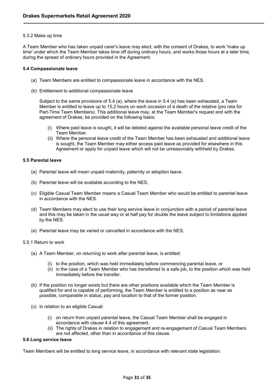## <span id="page-30-0"></span>5.3.2 Make up time

A Team Member who has taken unpaid carer's leave may elect, with the consent of Drakes, to work 'make up time' under which the Team Member takes time off during ordinary hours, and works those hours at a later time, during the spread of ordinary hours provided in the Agreement.

#### <span id="page-30-1"></span>**5.4 Compassionate leave**

- (a) Team Members are entitled to compassionate leave in accordance with the NES.
- (b) Entitlement to additional compassionate leave

Subject to the same provisions of 5.4 (a), where the leave in 5.4 (a) has been exhausted, a Team Member is entitled to leave up to 15.2 hours on each occasion of a death of the relative (pro rata for Part-Time Team Members). This additional leave may, at the Team Member's request and with the agreement of Drakes, be provided on the following basis:

- (i) Where paid leave is sought, it will be debited against the available personal leave credit of the Team Member.
- (ii) Where the personal leave credit of the Team Member has been exhausted and additional leave is sought, the Team Member may either access paid leave as provided for elsewhere in this Agreement or apply for unpaid leave which will not be unreasonably withheld by Drakes.

#### <span id="page-30-2"></span>**5.5 Parental leave**

- (a) Parental leave will mean unpaid maternity, paternity or adoption leave.
- (b) Parental leave will be available according to the NES.
- (c) Eligible Casual Team Member means a Casual Team Member who would be entitled to parental leave in accordance with the NES.
- (d) Team Members may elect to use their long service leave in conjunction with a period of parental leave and this may be taken in the usual way or at half pay for double the leave subject to limitations applied by the NES.
- (e) Parental leave may be varied or cancelled in accordance with the NES.

#### <span id="page-30-3"></span>5.5.1 Return to work

- (a) A Team Member, on returning to work after parental leave, is entitled:
	- (i) to the position, which was held immediately before commencing parental leave, or
	- (ii) in the case of a Team Member who has transferred to a safe job, to the position which was held immediately before the transfer.
- (b) If the position no longer exists but there are other positions available which the Team Member is qualified for and is capable of performing, the Team Member is entitled to a position as near as possible, comparable in status, pay and location to that of the former position.
- (c) In relation to an eligible Casual:
	- (i) on return from unpaid parental leave, the Casual Team Member shall be engaged in accordance with clause 4.4 of this agreement.
	- (ii) The rights of Drakes in relation to engagement and re-engagement of Casual Team Members are not affected, other than in accordance of this clause.

## <span id="page-30-4"></span>**5.6 Long service leave**

Team Members will be entitled to long service leave, in accordance with relevant state legislation.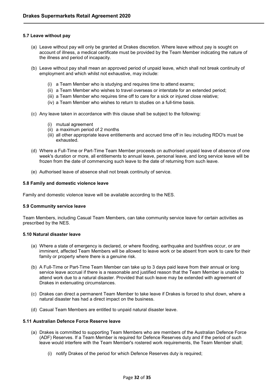## <span id="page-31-0"></span>**5.7 Leave without pay**

- (a) Leave without pay will only be granted at Drakes discretion. Where leave without pay is sought on account of illness, a medical certificate must be provided by the Team Member indicating the nature of the illness and period of incapacity.
- (b) Leave without pay shall mean an approved period of unpaid leave, which shall not break continuity of employment and which whilst not exhaustive, may include:
	- (i) a Team Member who is studying and requires time to attend exams;
	- (ii) a Team Member who wishes to travel overseas or interstate for an extended period;
	- (iii) a Team Member who requires time off to care for a sick or injured close relative;
	- (iv) a Team Member who wishes to return to studies on a full-time basis.
- (c) Any leave taken in accordance with this clause shall be subject to the following:
	- (i) mutual agreement
	- (ii) a maximum period of 2 months
	- (iii) all other appropriate leave entitlements and accrued time off in lieu including RDO's must be exhausted.
- (d) Where a Full-Time or Part-Time Team Member proceeds on authorised unpaid leave of absence of one week's duration or more, all entitlements to annual leave, personal leave, and long service leave will be frozen from the date of commencing such leave to the date of returning from such leave.
- (e) Authorised leave of absence shall not break continuity of service.

## <span id="page-31-1"></span>**5.8 Family and domestic violence leave**

Family and domestic violence leave will be available according to the NES.

## <span id="page-31-2"></span>**5.9 Community service leave**

Team Members, including Casual Team Members, can take community service leave for certain activities as prescribed by the NES.

## <span id="page-31-3"></span>**5.10 Natural disaster leave**

- (a) Where a state of emergency is declared, or where flooding, earthquake and bushfires occur, or are imminent, affected Team Members will be allowed to leave work or be absent from work to care for their family or property where there is a genuine risk.
- (b) A Full-Time or Part-Time Team Member can take up to 3 days paid leave from their annual or long service leave accrual if there is a reasonable and justified reason that the Team Member is unable to attend work due to a natural disaster. Provided that such leave may be extended with agreement of Drakes in extenuating circumstances.
- (c) Drakes can direct a permanent Team Member to take leave if Drakes is forced to shut down, where a natural disaster has had a direct impact on the business.
- (d) Casual Team Members are entitled to unpaid natural disaster leave.

# <span id="page-31-4"></span>**5.11 Australian Defence Force Reserve leave**

- (a) Drakes is committed to supporting Team Members who are members of the Australian Defence Force (ADF) Reserves. If a Team Member is required for Defence Reserves duty and if the period of such leave would interfere with the Team Member's rostered work requirements, the Team Member shall;
	- (i) notify Drakes of the period for which Defence Reserves duty is required;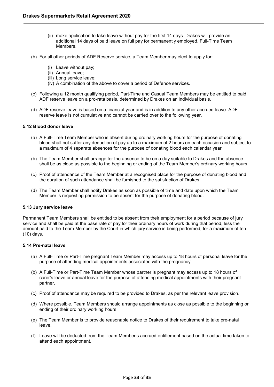- (ii) make application to take leave without pay for the first 14 days. Drakes will provide an additional 14 days of paid leave on full pay for permanently employed, Full-Time Team Members.
- (b) For all other periods of ADF Reserve service, a Team Member may elect to apply for:
	- (i) Leave without pay;
	- (ii) Annual leave;
	- (iii) Long service leave;
	- (iv) A combination of the above to cover a period of Defence services.
- (c) Following a 12 month qualifying period, Part-Time and Casual Team Members may be entitled to paid ADF reserve leave on a pro-rata basis, determined by Drakes on an individual basis.
- (d) ADF reserve leave is based on a financial year and is in addition to any other accrued leave. ADF reserve leave is not cumulative and cannot be carried over to the following year.

## <span id="page-32-0"></span>**5.12 Blood donor leave**

- (a) A Full-Time Team Member who is absent during ordinary working hours for the purpose of donating blood shall not suffer any deduction of pay up to a maximum of 2 hours on each occasion and subject to a maximum of 4 separate absences for the purpose of donating blood each calendar year.
- (b) The Team Member shall arrange for the absence to be on a day suitable to Drakes and the absence shall be as close as possible to the beginning or ending of the Team Member's ordinary working hours.
- (c) Proof of attendance of the Team Member at a recognised place for the purpose of donating blood and the duration of such attendance shall be furnished to the satisfaction of Drakes.
- (d) The Team Member shall notify Drakes as soon as possible of time and date upon which the Team Member is requesting permission to be absent for the purpose of donating blood.

## <span id="page-32-1"></span>**5.13 Jury service leave**

Permanent Team Members shall be entitled to be absent from their employment for a period because of jury service and shall be paid at the base rate of pay for their ordinary hours of work during that period, less the amount paid to the Team Member by the Court in which jury service is being performed, for a maximum of ten (10) days.

## <span id="page-32-2"></span>**5.14 Pre-natal leave**

- (a) A Full-Time or Part-Time pregnant Team Member may access up to 18 hours of personal leave for the purpose of attending medical appointments associated with the pregnancy.
- (b) A Full-Time or Part-Time Team Member whose partner is pregnant may access up to 18 hours of carer's leave or annual leave for the purpose of attending medical appointments with their pregnant partner.
- (c) Proof of attendance may be required to be provided to Drakes, as per the relevant leave provision.
- (d) Where possible, Team Members should arrange appointments as close as possible to the beginning or ending of their ordinary working hours.
- (e) The Team Member is to provide reasonable notice to Drakes of their requirement to take pre-natal leave.
- (f) Leave will be deducted from the Team Member's accrued entitlement based on the actual time taken to attend each appointment.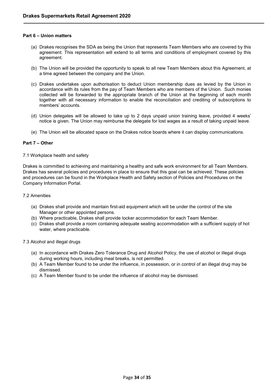## <span id="page-33-0"></span>**Part 6 – Union matters**

- (a) Drakes recognises the SDA as being the Union that represents Team Members who are covered by this agreement. This representation will extend to all terms and conditions of employment covered by this agreement.
- (b) The Union will be provided the opportunity to speak to all new Team Members about this Agreement, at a time agreed between the company and the Union.
- (c) Drakes undertakes upon authorisation to deduct Union membership dues as levied by the Union in accordance with its rules from the pay of Team Members who are members of the Union. Such monies collected will be forwarded to the appropriate branch of the Union at the beginning of each month together with all necessary information to enable the reconciliation and crediting of subscriptions to members' accounts.
- (d) Union delegates will be allowed to take up to 2 days unpaid union training leave, provided 4 weeks' notice is given. The Union may reimburse the delegate for lost wages as a result of taking unpaid leave.
- (e) The Union will be allocated space on the Drakes notice boards where it can display communications.

## <span id="page-33-1"></span>**Part 7 – Other**

## <span id="page-33-2"></span>7.1 Workplace health and safety

Drakes is committed to achieving and maintaining a healthy and safe work environment for all Team Members. Drakes has several policies and procedures in place to ensure that this goal can be achieved. These policies and procedures can be found in the Workplace Health and Safety section of Policies and Procedures on the Company Information Portal.

## <span id="page-33-3"></span>7.2 Amenities

- (a) Drakes shall provide and maintain first-aid equipment which will be under the control of the site Manager or other appointed persons.
- (b) Where practicable, Drakes shall provide locker accommodation for each Team Member.
- (c) Drakes shall provide a room containing adequate seating accommodation with a sufficient supply of hot water, where practicable.

## <span id="page-33-4"></span>7.3 Alcohol and illegal drugs

- (a) In accordance with Drakes Zero Tolerance Drug and Alcohol Policy, the use of alcohol or illegal drugs during working hours, including meal breaks, is not permitted.
- (b) A Team Member found to be under the influence, in possession, or in control of an illegal drug may be dismissed.
- (c) A Team Member found to be under the influence of alcohol may be dismissed.